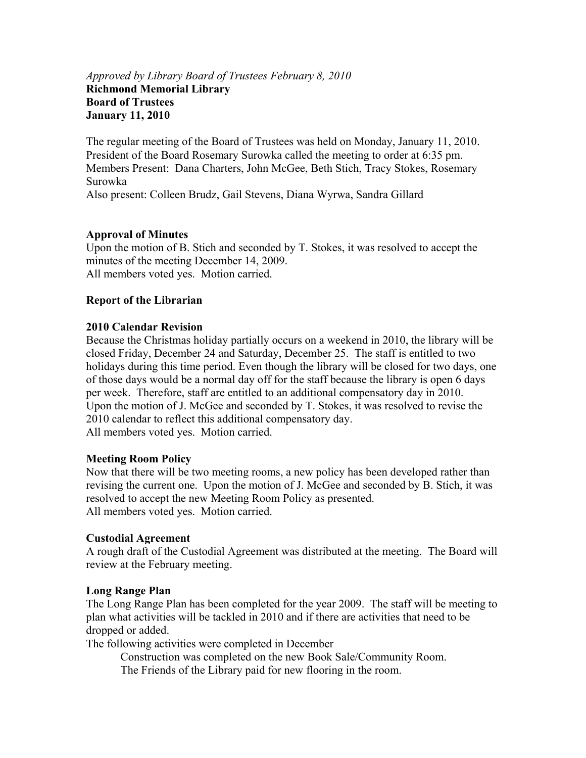## *Approved by Library Board of Trustees February 8, 2010*  **Richmond Memorial Library Board of Trustees January 11, 2010**

The regular meeting of the Board of Trustees was held on Monday, January 11, 2010. President of the Board Rosemary Surowka called the meeting to order at 6:35 pm. Members Present: Dana Charters, John McGee, Beth Stich, Tracy Stokes, Rosemary Surowka Also present: Colleen Brudz, Gail Stevens, Diana Wyrwa, Sandra Gillard

## **Approval of Minutes**

Upon the motion of B. Stich and seconded by T. Stokes, it was resolved to accept the minutes of the meeting December 14, 2009. All members voted yes. Motion carried.

### **Report of the Librarian**

### **2010 Calendar Revision**

Because the Christmas holiday partially occurs on a weekend in 2010, the library will be closed Friday, December 24 and Saturday, December 25. The staff is entitled to two holidays during this time period. Even though the library will be closed for two days, one of those days would be a normal day off for the staff because the library is open 6 days per week. Therefore, staff are entitled to an additional compensatory day in 2010. Upon the motion of J. McGee and seconded by T. Stokes, it was resolved to revise the 2010 calendar to reflect this additional compensatory day. All members voted yes. Motion carried.

### **Meeting Room Policy**

Now that there will be two meeting rooms, a new policy has been developed rather than revising the current one. Upon the motion of J. McGee and seconded by B. Stich, it was resolved to accept the new Meeting Room Policy as presented. All members voted yes. Motion carried.

### **Custodial Agreement**

A rough draft of the Custodial Agreement was distributed at the meeting. The Board will review at the February meeting.

### **Long Range Plan**

The Long Range Plan has been completed for the year 2009. The staff will be meeting to plan what activities will be tackled in 2010 and if there are activities that need to be dropped or added.

The following activities were completed in December

Construction was completed on the new Book Sale/Community Room.

The Friends of the Library paid for new flooring in the room.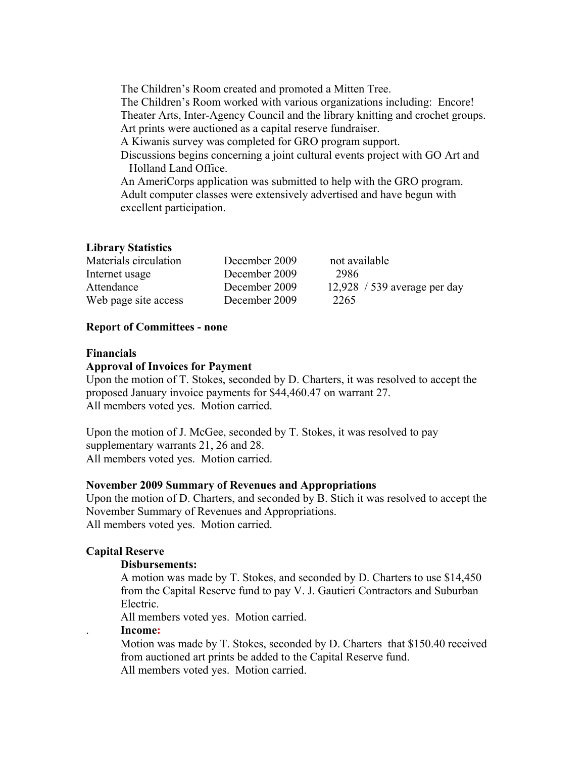The Children's Room created and promoted a Mitten Tree. The Children's Room worked with various organizations including: Encore! Theater Arts, Inter-Agency Council and the library knitting and crochet groups. Art prints were auctioned as a capital reserve fundraiser. A Kiwanis survey was completed for GRO program support. Discussions begins concerning a joint cultural events project with GO Art and Holland Land Office. An AmeriCorps application was submitted to help with the GRO program. Adult computer classes were extensively advertised and have begun with excellent participation.

### **Library Statistics**

| Materials circulation | December 2009 | not available                |
|-----------------------|---------------|------------------------------|
| Internet usage        | December 2009 | 2986                         |
| Attendance            | December 2009 | 12,928 / 539 average per day |
| Web page site access  | December 2009 | 2265                         |

#### **Report of Committees - none**

#### **Financials**

#### **Approval of Invoices for Payment**

Upon the motion of T. Stokes, seconded by D. Charters, it was resolved to accept the proposed January invoice payments for \$44,460.47 on warrant 27. All members voted yes. Motion carried.

Upon the motion of J. McGee, seconded by T. Stokes, it was resolved to pay supplementary warrants 21, 26 and 28. All members voted yes. Motion carried.

#### **November 2009 Summary of Revenues and Appropriations**

Upon the motion of D. Charters, and seconded by B. Stich it was resolved to accept the November Summary of Revenues and Appropriations. All members voted yes. Motion carried.

#### **Capital Reserve**

#### **Disbursements:**

A motion was made by T. Stokes, and seconded by D. Charters to use \$14,450 from the Capital Reserve fund to pay V. J. Gautieri Contractors and Suburban Electric.

All members voted yes. Motion carried.

#### . **Income:**

Motion was made by T. Stokes, seconded by D. Charters that \$150.40 received from auctioned art prints be added to the Capital Reserve fund. All members voted yes. Motion carried.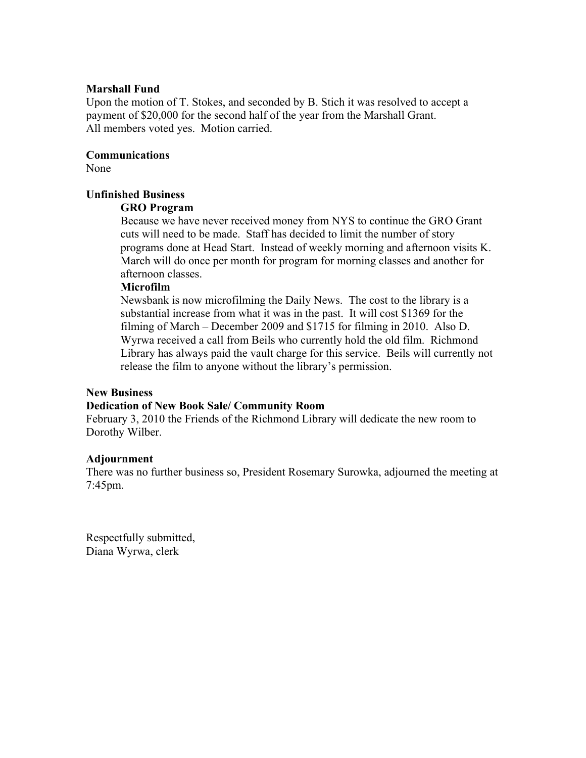#### **Marshall Fund**

Upon the motion of T. Stokes, and seconded by B. Stich it was resolved to accept a payment of \$20,000 for the second half of the year from the Marshall Grant. All members voted yes. Motion carried.

#### **Communications**

None

#### **Unfinished Business**

#### **GRO Program**

Because we have never received money from NYS to continue the GRO Grant cuts will need to be made. Staff has decided to limit the number of story programs done at Head Start. Instead of weekly morning and afternoon visits K. March will do once per month for program for morning classes and another for afternoon classes.

#### **Microfilm**

Newsbank is now microfilming the Daily News. The cost to the library is a substantial increase from what it was in the past. It will cost \$1369 for the filming of March – December 2009 and \$1715 for filming in 2010. Also D. Wyrwa received a call from Beils who currently hold the old film. Richmond Library has always paid the vault charge for this service. Beils will currently not release the film to anyone without the library's permission.

#### **New Business**

#### **Dedication of New Book Sale/ Community Room**

February 3, 2010 the Friends of the Richmond Library will dedicate the new room to Dorothy Wilber.

#### **Adjournment**

There was no further business so, President Rosemary Surowka, adjourned the meeting at 7:45pm.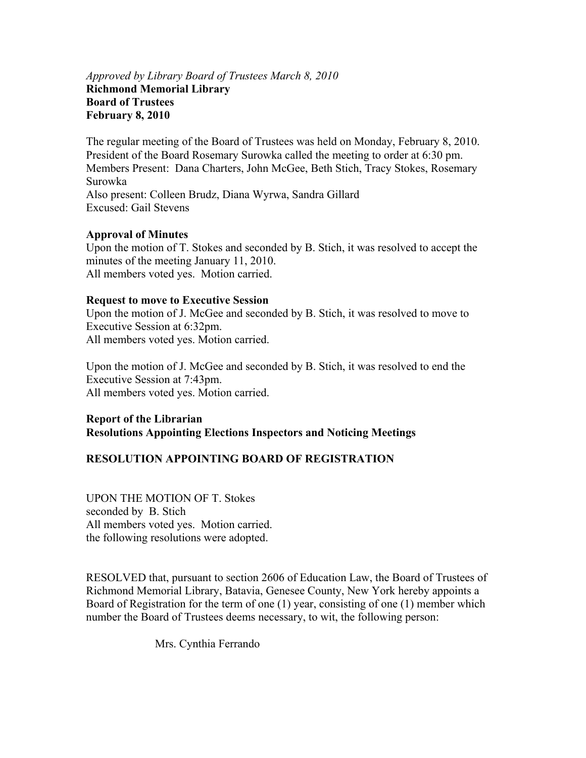## *Approved by Library Board of Trustees March 8, 2010*  **Richmond Memorial Library Board of Trustees February 8, 2010**

The regular meeting of the Board of Trustees was held on Monday, February 8, 2010. President of the Board Rosemary Surowka called the meeting to order at 6:30 pm. Members Present: Dana Charters, John McGee, Beth Stich, Tracy Stokes, Rosemary Surowka Also present: Colleen Brudz, Diana Wyrwa, Sandra Gillard Excused: Gail Stevens

## **Approval of Minutes**

Upon the motion of T. Stokes and seconded by B. Stich, it was resolved to accept the minutes of the meeting January 11, 2010. All members voted yes. Motion carried.

### **Request to move to Executive Session**

Upon the motion of J. McGee and seconded by B. Stich, it was resolved to move to Executive Session at 6:32pm. All members voted yes. Motion carried.

Upon the motion of J. McGee and seconded by B. Stich, it was resolved to end the Executive Session at 7:43pm. All members voted yes. Motion carried.

## **Report of the Librarian Resolutions Appointing Elections Inspectors and Noticing Meetings**

## **RESOLUTION APPOINTING BOARD OF REGISTRATION**

UPON THE MOTION OF T. Stokes seconded by B. Stich All members voted yes. Motion carried. the following resolutions were adopted.

RESOLVED that, pursuant to section 2606 of Education Law, the Board of Trustees of Richmond Memorial Library, Batavia, Genesee County, New York hereby appoints a Board of Registration for the term of one (1) year, consisting of one (1) member which number the Board of Trustees deems necessary, to wit, the following person:

Mrs. Cynthia Ferrando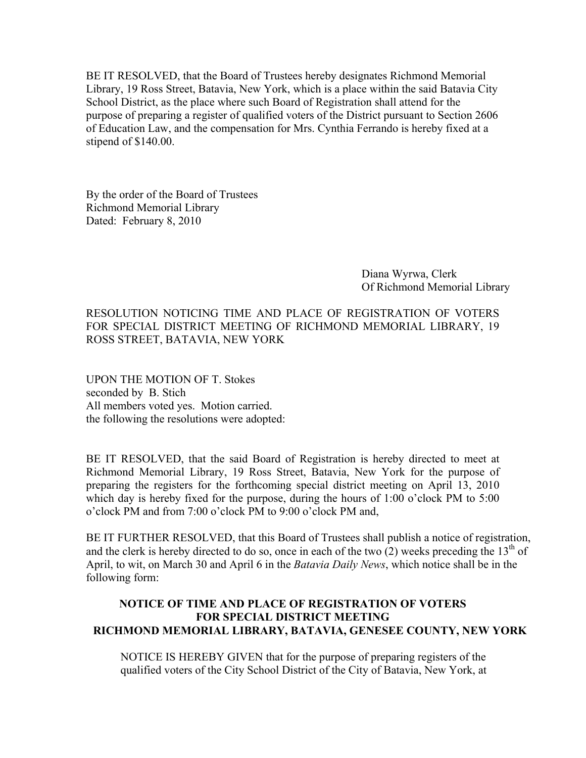BE IT RESOLVED, that the Board of Trustees hereby designates Richmond Memorial Library, 19 Ross Street, Batavia, New York, which is a place within the said Batavia City School District, as the place where such Board of Registration shall attend for the purpose of preparing a register of qualified voters of the District pursuant to Section 2606 of Education Law, and the compensation for Mrs. Cynthia Ferrando is hereby fixed at a stipend of \$140.00.

By the order of the Board of Trustees Richmond Memorial Library Dated: February 8, 2010

> Diana Wyrwa, Clerk Of Richmond Memorial Library

RESOLUTION NOTICING TIME AND PLACE OF REGISTRATION OF VOTERS FOR SPECIAL DISTRICT MEETING OF RICHMOND MEMORIAL LIBRARY, 19 ROSS STREET, BATAVIA, NEW YORK

UPON THE MOTION OF T. Stokes seconded by B. Stich All members voted yes. Motion carried. the following the resolutions were adopted:

BE IT RESOLVED, that the said Board of Registration is hereby directed to meet at Richmond Memorial Library, 19 Ross Street, Batavia, New York for the purpose of preparing the registers for the forthcoming special district meeting on April 13, 2010 which day is hereby fixed for the purpose, during the hours of 1:00 o'clock PM to 5:00 o'clock PM and from 7:00 o'clock PM to 9:00 o'clock PM and,

BE IT FURTHER RESOLVED, that this Board of Trustees shall publish a notice of registration, and the clerk is hereby directed to do so, once in each of the two (2) weeks preceding the  $13<sup>th</sup>$  of April, to wit, on March 30 and April 6 in the *Batavia Daily News*, which notice shall be in the following form:

## **NOTICE OF TIME AND PLACE OF REGISTRATION OF VOTERS FOR SPECIAL DISTRICT MEETING RICHMOND MEMORIAL LIBRARY, BATAVIA, GENESEE COUNTY, NEW YORK**

NOTICE IS HEREBY GIVEN that for the purpose of preparing registers of the qualified voters of the City School District of the City of Batavia, New York, at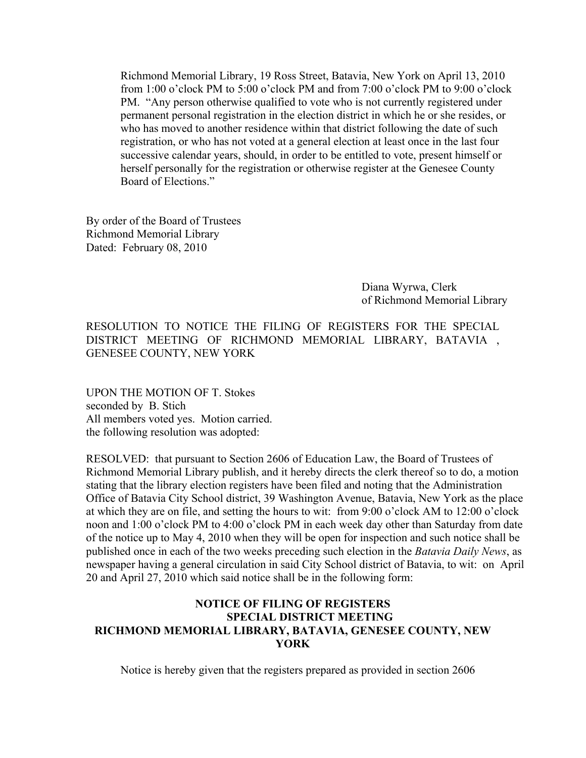Richmond Memorial Library, 19 Ross Street, Batavia, New York on April 13, 2010 from 1:00 o'clock PM to 5:00 o'clock PM and from 7:00 o'clock PM to 9:00 o'clock PM. "Any person otherwise qualified to vote who is not currently registered under permanent personal registration in the election district in which he or she resides, or who has moved to another residence within that district following the date of such registration, or who has not voted at a general election at least once in the last four successive calendar years, should, in order to be entitled to vote, present himself or herself personally for the registration or otherwise register at the Genesee County Board of Elections."

By order of the Board of Trustees Richmond Memorial Library Dated: February 08, 2010

> Diana Wyrwa, Clerk of Richmond Memorial Library

RESOLUTION TO NOTICE THE FILING OF REGISTERS FOR THE SPECIAL DISTRICT MEETING OF RICHMOND MEMORIAL LIBRARY, BATAVIA , GENESEE COUNTY, NEW YORK

UPON THE MOTION OF T. Stokes seconded by B. Stich All members voted yes. Motion carried. the following resolution was adopted:

RESOLVED: that pursuant to Section 2606 of Education Law, the Board of Trustees of Richmond Memorial Library publish, and it hereby directs the clerk thereof so to do, a motion stating that the library election registers have been filed and noting that the Administration Office of Batavia City School district, 39 Washington Avenue, Batavia, New York as the place at which they are on file, and setting the hours to wit: from 9:00 o'clock AM to 12:00 o'clock noon and 1:00 o'clock PM to 4:00 o'clock PM in each week day other than Saturday from date of the notice up to May 4, 2010 when they will be open for inspection and such notice shall be published once in each of the two weeks preceding such election in the *Batavia Daily News*, as newspaper having a general circulation in said City School district of Batavia, to wit: on April 20 and April 27, 2010 which said notice shall be in the following form:

## **NOTICE OF FILING OF REGISTERS SPECIAL DISTRICT MEETING RICHMOND MEMORIAL LIBRARY, BATAVIA, GENESEE COUNTY, NEW YORK**

Notice is hereby given that the registers prepared as provided in section 2606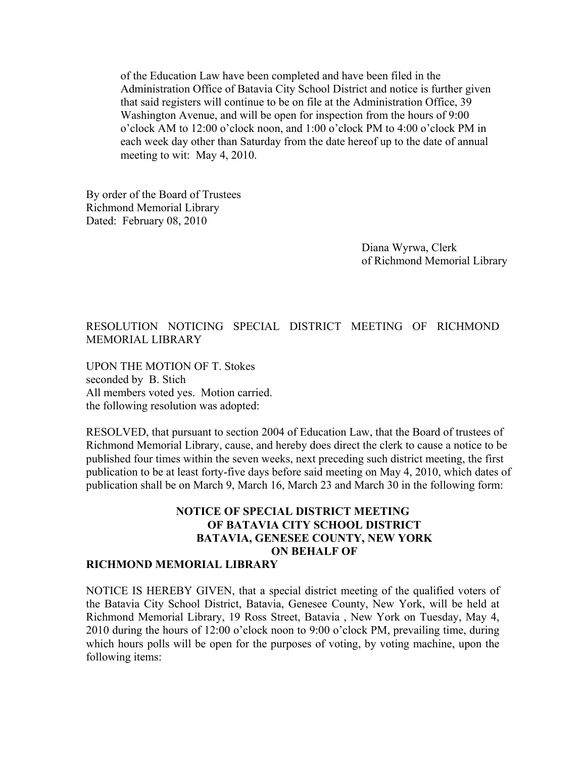of the Education Law have been completed and have been filed in the Administration Office of Batavia City School District and notice is further given that said registers will continue to be on file at the Administration Office, 39 Washington Avenue, and will be open for inspection from the hours of 9:00 o'clock AM to 12:00 o'clock noon, and 1:00 o'clock PM to 4:00 o'clock PM in each week day other than Saturday from the date hereof up to the date of annual meeting to wit: May 4, 2010.

By order of the Board of Trustees Richmond Memorial Library Dated: February 08, 2010

> Diana Wyrwa, Clerk of Richmond Memorial Library

## RESOLUTION NOTICING SPECIAL DISTRICT MEETING OF RICHMOND MEMORIAL LIBRARY

UPON THE MOTION OF T. Stokes seconded by B. Stich All members voted yes. Motion carried. the following resolution was adopted:

RESOLVED, that pursuant to section 2004 of Education Law, that the Board of trustees of Richmond Memorial Library, cause, and hereby does direct the clerk to cause a notice to be published four times within the seven weeks, next preceding such district meeting, the first publication to be at least forty-five days before said meeting on May 4, 2010, which dates of publication shall be on March 9, March 16, March 23 and March 30 in the following form:

## **NOTICE OF SPECIAL DISTRICT MEETING OF BATAVIA CITY SCHOOL DISTRICT BATAVIA, GENESEE COUNTY, NEW YORK ON BEHALF OF**

#### **RICHMOND MEMORIAL LIBRARY**

NOTICE IS HEREBY GIVEN, that a special district meeting of the qualified voters of the Batavia City School District, Batavia, Genesee County, New York, will be held at Richmond Memorial Library, 19 Ross Street, Batavia , New York on Tuesday, May 4, 2010 during the hours of 12:00 o'clock noon to 9:00 o'clock PM, prevailing time, during which hours polls will be open for the purposes of voting, by voting machine, upon the following items: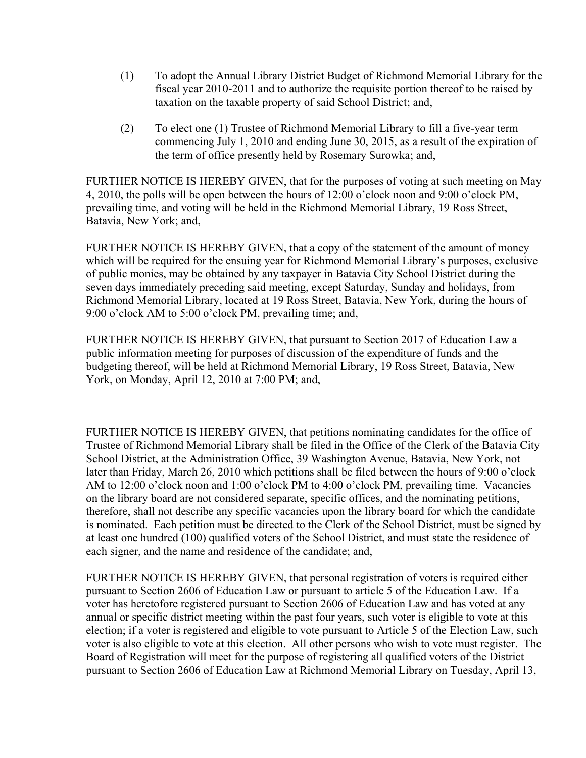- (1) To adopt the Annual Library District Budget of Richmond Memorial Library for the fiscal year 2010-2011 and to authorize the requisite portion thereof to be raised by taxation on the taxable property of said School District; and,
- (2) To elect one (1) Trustee of Richmond Memorial Library to fill a five-year term commencing July 1, 2010 and ending June 30, 2015, as a result of the expiration of the term of office presently held by Rosemary Surowka; and,

FURTHER NOTICE IS HEREBY GIVEN, that for the purposes of voting at such meeting on May 4, 2010, the polls will be open between the hours of 12:00 o'clock noon and 9:00 o'clock PM, prevailing time, and voting will be held in the Richmond Memorial Library, 19 Ross Street, Batavia, New York; and,

FURTHER NOTICE IS HEREBY GIVEN, that a copy of the statement of the amount of money which will be required for the ensuing year for Richmond Memorial Library's purposes, exclusive of public monies, may be obtained by any taxpayer in Batavia City School District during the seven days immediately preceding said meeting, except Saturday, Sunday and holidays, from Richmond Memorial Library, located at 19 Ross Street, Batavia, New York, during the hours of 9:00 o'clock AM to 5:00 o'clock PM, prevailing time; and,

FURTHER NOTICE IS HEREBY GIVEN, that pursuant to Section 2017 of Education Law a public information meeting for purposes of discussion of the expenditure of funds and the budgeting thereof, will be held at Richmond Memorial Library, 19 Ross Street, Batavia, New York, on Monday, April 12, 2010 at 7:00 PM; and,

FURTHER NOTICE IS HEREBY GIVEN, that petitions nominating candidates for the office of Trustee of Richmond Memorial Library shall be filed in the Office of the Clerk of the Batavia City School District, at the Administration Office, 39 Washington Avenue, Batavia, New York, not later than Friday, March 26, 2010 which petitions shall be filed between the hours of 9:00 o'clock AM to 12:00 o'clock noon and 1:00 o'clock PM to 4:00 o'clock PM, prevailing time. Vacancies on the library board are not considered separate, specific offices, and the nominating petitions, therefore, shall not describe any specific vacancies upon the library board for which the candidate is nominated. Each petition must be directed to the Clerk of the School District, must be signed by at least one hundred (100) qualified voters of the School District, and must state the residence of each signer, and the name and residence of the candidate; and,

FURTHER NOTICE IS HEREBY GIVEN, that personal registration of voters is required either pursuant to Section 2606 of Education Law or pursuant to article 5 of the Education Law. If a voter has heretofore registered pursuant to Section 2606 of Education Law and has voted at any annual or specific district meeting within the past four years, such voter is eligible to vote at this election; if a voter is registered and eligible to vote pursuant to Article 5 of the Election Law, such voter is also eligible to vote at this election. All other persons who wish to vote must register. The Board of Registration will meet for the purpose of registering all qualified voters of the District pursuant to Section 2606 of Education Law at Richmond Memorial Library on Tuesday, April 13,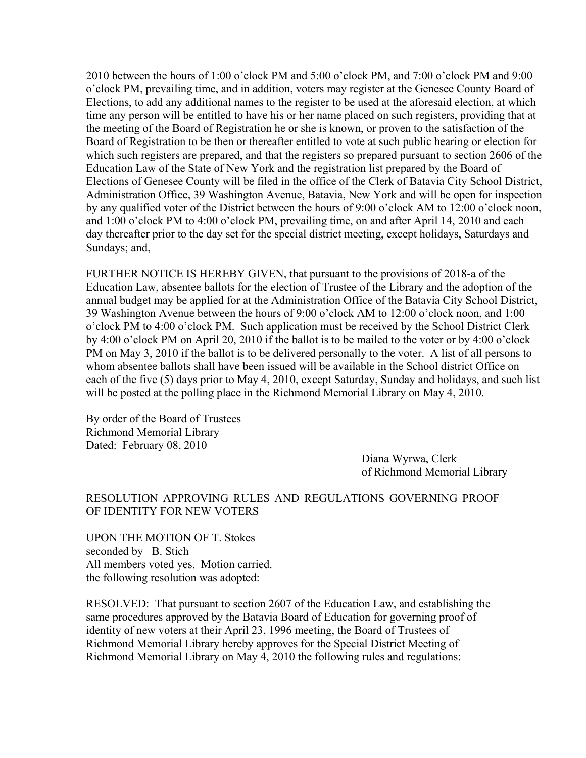2010 between the hours of 1:00 o'clock PM and 5:00 o'clock PM, and 7:00 o'clock PM and 9:00 o'clock PM, prevailing time, and in addition, voters may register at the Genesee County Board of Elections, to add any additional names to the register to be used at the aforesaid election, at which time any person will be entitled to have his or her name placed on such registers, providing that at the meeting of the Board of Registration he or she is known, or proven to the satisfaction of the Board of Registration to be then or thereafter entitled to vote at such public hearing or election for which such registers are prepared, and that the registers so prepared pursuant to section 2606 of the Education Law of the State of New York and the registration list prepared by the Board of Elections of Genesee County will be filed in the office of the Clerk of Batavia City School District, Administration Office, 39 Washington Avenue, Batavia, New York and will be open for inspection by any qualified voter of the District between the hours of 9:00 o'clock AM to 12:00 o'clock noon, and 1:00 o'clock PM to 4:00 o'clock PM, prevailing time, on and after April 14, 2010 and each day thereafter prior to the day set for the special district meeting, except holidays, Saturdays and Sundays; and,

FURTHER NOTICE IS HEREBY GIVEN, that pursuant to the provisions of 2018-a of the Education Law, absentee ballots for the election of Trustee of the Library and the adoption of the annual budget may be applied for at the Administration Office of the Batavia City School District, 39 Washington Avenue between the hours of 9:00 o'clock AM to 12:00 o'clock noon, and 1:00 o'clock PM to 4:00 o'clock PM. Such application must be received by the School District Clerk by 4:00 o'clock PM on April 20, 2010 if the ballot is to be mailed to the voter or by 4:00 o'clock PM on May 3, 2010 if the ballot is to be delivered personally to the voter. A list of all persons to whom absentee ballots shall have been issued will be available in the School district Office on each of the five (5) days prior to May 4, 2010, except Saturday, Sunday and holidays, and such list will be posted at the polling place in the Richmond Memorial Library on May 4, 2010.

By order of the Board of Trustees Richmond Memorial Library Dated: February 08, 2010

Diana Wyrwa, Clerk of Richmond Memorial Library

## RESOLUTION APPROVING RULES AND REGULATIONS GOVERNING PROOF OF IDENTITY FOR NEW VOTERS

UPON THE MOTION OF T. Stokes seconded by B. Stich All members voted yes. Motion carried. the following resolution was adopted:

RESOLVED: That pursuant to section 2607 of the Education Law, and establishing the same procedures approved by the Batavia Board of Education for governing proof of identity of new voters at their April 23, 1996 meeting, the Board of Trustees of Richmond Memorial Library hereby approves for the Special District Meeting of Richmond Memorial Library on May 4, 2010 the following rules and regulations: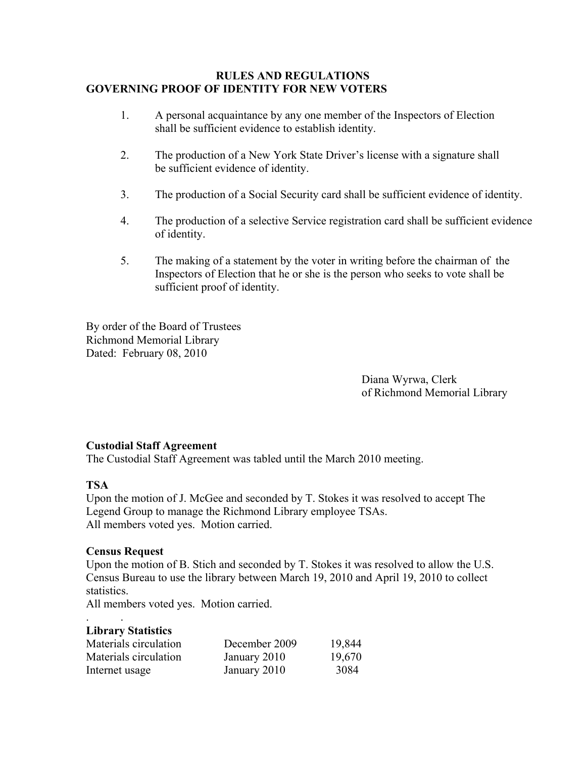### **RULES AND REGULATIONS GOVERNING PROOF OF IDENTITY FOR NEW VOTERS**

- 1. A personal acquaintance by any one member of the Inspectors of Election shall be sufficient evidence to establish identity.
- 2. The production of a New York State Driver's license with a signature shall be sufficient evidence of identity.
- 3. The production of a Social Security card shall be sufficient evidence of identity.
- 4. The production of a selective Service registration card shall be sufficient evidence of identity.
- 5. The making of a statement by the voter in writing before the chairman of the Inspectors of Election that he or she is the person who seeks to vote shall be sufficient proof of identity.

By order of the Board of Trustees Richmond Memorial Library Dated: February 08, 2010

> Diana Wyrwa, Clerk of Richmond Memorial Library

## **Custodial Staff Agreement**

The Custodial Staff Agreement was tabled until the March 2010 meeting.

## **TSA**

Upon the motion of J. McGee and seconded by T. Stokes it was resolved to accept The Legend Group to manage the Richmond Library employee TSAs. All members voted yes. Motion carried.

### **Census Request**

. .

Upon the motion of B. Stich and seconded by T. Stokes it was resolved to allow the U.S. Census Bureau to use the library between March 19, 2010 and April 19, 2010 to collect statistics.

All members voted yes. Motion carried.

| <b>Library Statistics</b> |               |        |
|---------------------------|---------------|--------|
| Materials circulation     | December 2009 | 19,844 |
| Materials circulation     | January 2010  | 19,670 |
| Internet usage            | January 2010  | 3084   |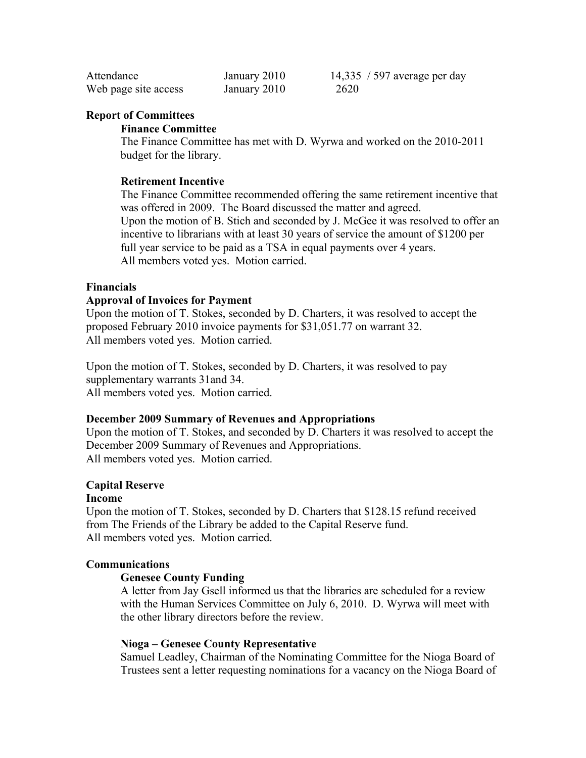| Attendance           | January 2010 | 14,335 / 597 average per day |
|----------------------|--------------|------------------------------|
| Web page site access | January 2010 | 2620                         |

#### **Report of Committees**

#### **Finance Committee**

The Finance Committee has met with D. Wyrwa and worked on the 2010-2011 budget for the library.

#### **Retirement Incentive**

The Finance Committee recommended offering the same retirement incentive that was offered in 2009. The Board discussed the matter and agreed. Upon the motion of B. Stich and seconded by J. McGee it was resolved to offer an incentive to librarians with at least 30 years of service the amount of \$1200 per full year service to be paid as a TSA in equal payments over 4 years. All members voted yes. Motion carried.

#### **Financials**

#### **Approval of Invoices for Payment**

Upon the motion of T. Stokes, seconded by D. Charters, it was resolved to accept the proposed February 2010 invoice payments for \$31,051.77 on warrant 32. All members voted yes. Motion carried.

Upon the motion of T. Stokes, seconded by D. Charters, it was resolved to pay supplementary warrants 31and 34. All members voted yes. Motion carried.

#### **December 2009 Summary of Revenues and Appropriations**

Upon the motion of T. Stokes, and seconded by D. Charters it was resolved to accept the December 2009 Summary of Revenues and Appropriations. All members voted yes. Motion carried.

### **Capital Reserve**

#### **Income**

Upon the motion of T. Stokes, seconded by D. Charters that \$128.15 refund received from The Friends of the Library be added to the Capital Reserve fund. All members voted yes. Motion carried.

#### **Communications**

#### **Genesee County Funding**

A letter from Jay Gsell informed us that the libraries are scheduled for a review with the Human Services Committee on July 6, 2010. D. Wyrwa will meet with the other library directors before the review.

#### **Nioga – Genesee County Representative**

Samuel Leadley, Chairman of the Nominating Committee for the Nioga Board of Trustees sent a letter requesting nominations for a vacancy on the Nioga Board of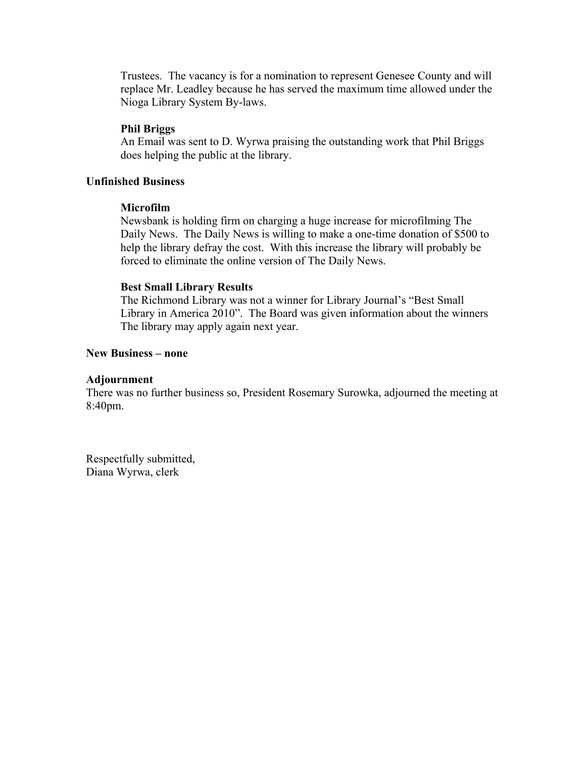Trustees. The vacancy is for a nomination to represent Genesee County and will replace Mr. Leadley because he has served the maximum time allowed under the Nioga Library System By-laws.

#### **Phil Briggs**

An Email was sent to D. Wyrwa praising the outstanding work that Phil Briggs does helping the public at the library.

### **Unfinished Business**

#### **Microfilm**

Newsbank is holding firm on charging a huge increase for microfilming The Daily News. The Daily News is willing to make a one-time donation of \$500 to help the library defray the cost. With this increase the library will probably be forced to eliminate the online version of The Daily News.

#### **Best Small Library Results**

The Richmond Library was not a winner for Library Journal's "Best Small Library in America 2010". The Board was given information about the winners The library may apply again next year.

### **New Business – none**

#### **Adjournment**

There was no further business so, President Rosemary Surowka, adjourned the meeting at 8:40pm.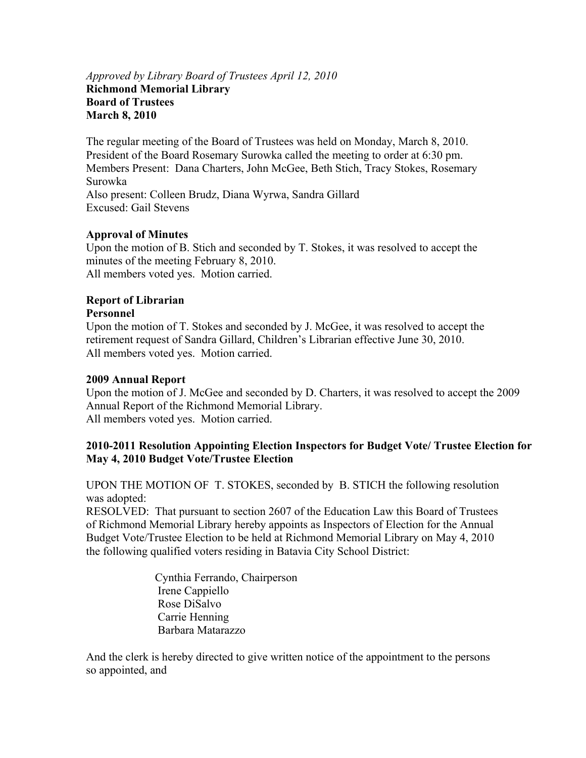## *Approved by Library Board of Trustees April 12, 2010*  **Richmond Memorial Library Board of Trustees March 8, 2010**

The regular meeting of the Board of Trustees was held on Monday, March 8, 2010. President of the Board Rosemary Surowka called the meeting to order at 6:30 pm. Members Present: Dana Charters, John McGee, Beth Stich, Tracy Stokes, Rosemary Surowka Also present: Colleen Brudz, Diana Wyrwa, Sandra Gillard Excused: Gail Stevens

## **Approval of Minutes**

Upon the motion of B. Stich and seconded by T. Stokes, it was resolved to accept the minutes of the meeting February 8, 2010. All members voted yes. Motion carried.

## **Report of Librarian**

## **Personnel**

Upon the motion of T. Stokes and seconded by J. McGee, it was resolved to accept the retirement request of Sandra Gillard, Children's Librarian effective June 30, 2010. All members voted yes. Motion carried.

### **2009 Annual Report**

Upon the motion of J. McGee and seconded by D. Charters, it was resolved to accept the 2009 Annual Report of the Richmond Memorial Library. All members voted yes. Motion carried.

## **2010-2011 Resolution Appointing Election Inspectors for Budget Vote/ Trustee Election for May 4, 2010 Budget Vote/Trustee Election**

UPON THE MOTION OF T. STOKES, seconded by B. STICH the following resolution was adopted:

RESOLVED: That pursuant to section 2607 of the Education Law this Board of Trustees of Richmond Memorial Library hereby appoints as Inspectors of Election for the Annual Budget Vote/Trustee Election to be held at Richmond Memorial Library on May 4, 2010 the following qualified voters residing in Batavia City School District:

> Cynthia Ferrando, Chairperson Irene Cappiello Rose DiSalvo Carrie Henning Barbara Matarazzo

And the clerk is hereby directed to give written notice of the appointment to the persons so appointed, and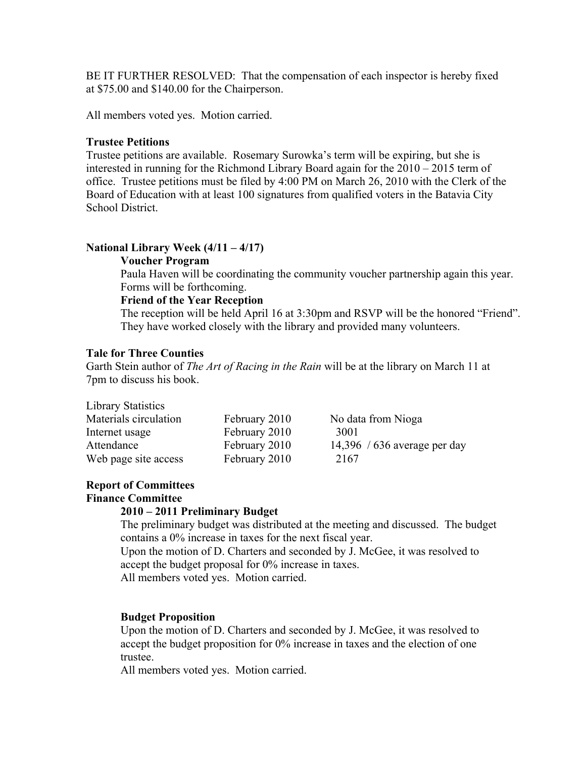BE IT FURTHER RESOLVED: That the compensation of each inspector is hereby fixed at \$75.00 and \$140.00 for the Chairperson.

All members voted yes. Motion carried.

#### **Trustee Petitions**

Trustee petitions are available. Rosemary Surowka's term will be expiring, but she is interested in running for the Richmond Library Board again for the 2010 – 2015 term of office. Trustee petitions must be filed by 4:00 PM on March 26, 2010 with the Clerk of the Board of Education with at least 100 signatures from qualified voters in the Batavia City School District.

#### **National Library Week (4/11 – 4/17)**

#### **Voucher Program**

Paula Haven will be coordinating the community voucher partnership again this year. Forms will be forthcoming.

#### **Friend of the Year Reception**

The reception will be held April 16 at 3:30pm and RSVP will be the honored "Friend". They have worked closely with the library and provided many volunteers.

## **Tale for Three Counties**

Garth Stein author of *The Art of Racing in the Rain* will be at the library on March 11 at 7pm to discuss his book.

#### Library Statistics

| Materials circulation | February 2010 | No data from Nioga           |
|-----------------------|---------------|------------------------------|
| Internet usage        | February 2010 | 3001                         |
| Attendance            | February 2010 | 14,396 / 636 average per day |
| Web page site access  | February 2010 | 2167                         |

## **Report of Committees**

### **Finance Committee**

### **2010 – 2011 Preliminary Budget**

The preliminary budget was distributed at the meeting and discussed. The budget contains a 0% increase in taxes for the next fiscal year.

Upon the motion of D. Charters and seconded by J. McGee, it was resolved to accept the budget proposal for 0% increase in taxes.

All members voted yes. Motion carried.

### **Budget Proposition**

Upon the motion of D. Charters and seconded by J. McGee, it was resolved to accept the budget proposition for 0% increase in taxes and the election of one trustee.

All members voted yes. Motion carried.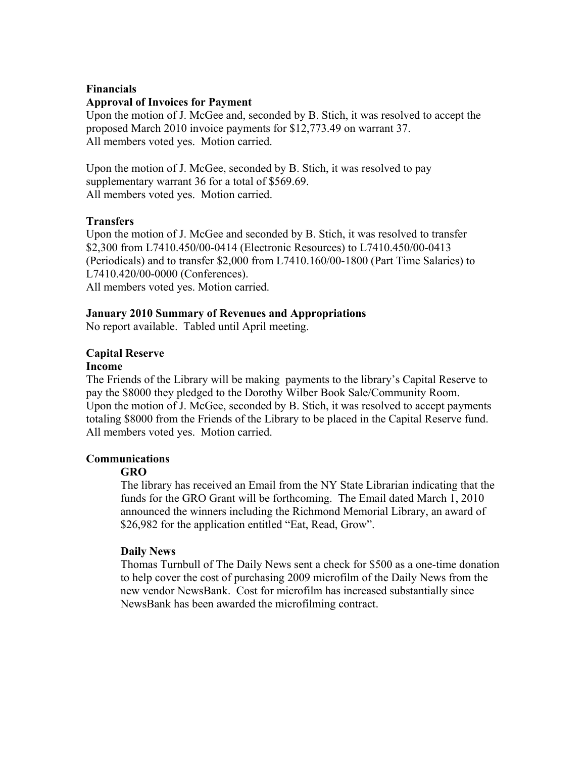### **Financials**

#### **Approval of Invoices for Payment**

Upon the motion of J. McGee and, seconded by B. Stich, it was resolved to accept the proposed March 2010 invoice payments for \$12,773.49 on warrant 37. All members voted yes. Motion carried.

Upon the motion of J. McGee, seconded by B. Stich, it was resolved to pay supplementary warrant 36 for a total of \$569.69. All members voted yes. Motion carried.

#### **Transfers**

Upon the motion of J. McGee and seconded by B. Stich, it was resolved to transfer \$2,300 from L7410.450/00-0414 (Electronic Resources) to L7410.450/00-0413 (Periodicals) and to transfer \$2,000 from L7410.160/00-1800 (Part Time Salaries) to L7410.420/00-0000 (Conferences). All members voted yes. Motion carried.

#### **January 2010 Summary of Revenues and Appropriations**

No report available. Tabled until April meeting.

#### **Capital Reserve**

#### **Income**

The Friends of the Library will be making payments to the library's Capital Reserve to pay the \$8000 they pledged to the Dorothy Wilber Book Sale/Community Room. Upon the motion of J. McGee, seconded by B. Stich, it was resolved to accept payments totaling \$8000 from the Friends of the Library to be placed in the Capital Reserve fund. All members voted yes. Motion carried.

#### **Communications**

### **GRO**

The library has received an Email from the NY State Librarian indicating that the funds for the GRO Grant will be forthcoming. The Email dated March 1, 2010 announced the winners including the Richmond Memorial Library, an award of \$26,982 for the application entitled "Eat, Read, Grow".

#### **Daily News**

Thomas Turnbull of The Daily News sent a check for \$500 as a one-time donation to help cover the cost of purchasing 2009 microfilm of the Daily News from the new vendor NewsBank. Cost for microfilm has increased substantially since NewsBank has been awarded the microfilming contract.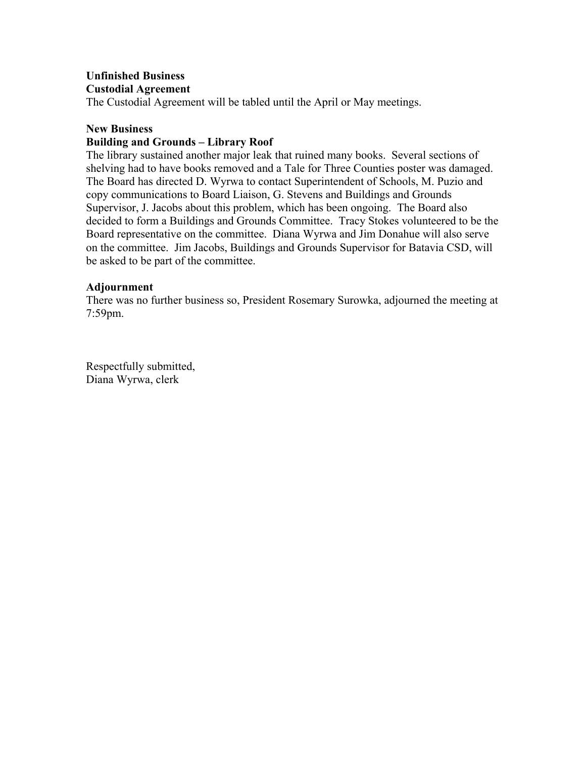## **Unfinished Business Custodial Agreement**

The Custodial Agreement will be tabled until the April or May meetings.

### **New Business**

## **Building and Grounds – Library Roof**

The library sustained another major leak that ruined many books. Several sections of shelving had to have books removed and a Tale for Three Counties poster was damaged. The Board has directed D. Wyrwa to contact Superintendent of Schools, M. Puzio and copy communications to Board Liaison, G. Stevens and Buildings and Grounds Supervisor, J. Jacobs about this problem, which has been ongoing. The Board also decided to form a Buildings and Grounds Committee. Tracy Stokes volunteered to be the Board representative on the committee. Diana Wyrwa and Jim Donahue will also serve on the committee. Jim Jacobs, Buildings and Grounds Supervisor for Batavia CSD, will be asked to be part of the committee.

## **Adjournment**

There was no further business so, President Rosemary Surowka, adjourned the meeting at 7:59pm.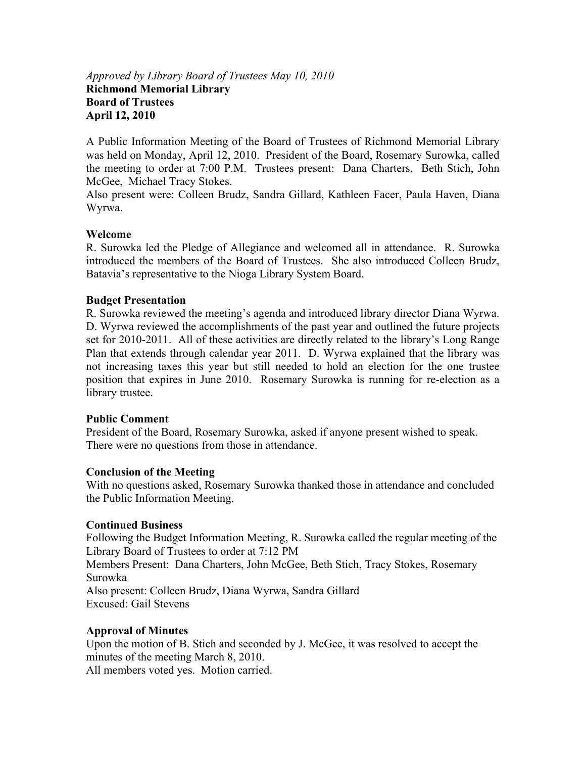## *Approved by Library Board of Trustees May 10, 2010*  **Richmond Memorial Library Board of Trustees April 12, 2010**

A Public Information Meeting of the Board of Trustees of Richmond Memorial Library was held on Monday, April 12, 2010. President of the Board, Rosemary Surowka, called the meeting to order at 7:00 P.M. Trustees present: Dana Charters, Beth Stich, John McGee, Michael Tracy Stokes.

Also present were: Colleen Brudz, Sandra Gillard, Kathleen Facer, Paula Haven, Diana Wyrwa.

## **Welcome**

R. Surowka led the Pledge of Allegiance and welcomed all in attendance. R. Surowka introduced the members of the Board of Trustees. She also introduced Colleen Brudz, Batavia's representative to the Nioga Library System Board.

### **Budget Presentation**

R. Surowka reviewed the meeting's agenda and introduced library director Diana Wyrwa. D. Wyrwa reviewed the accomplishments of the past year and outlined the future projects set for 2010-2011. All of these activities are directly related to the library's Long Range Plan that extends through calendar year 2011. D. Wyrwa explained that the library was not increasing taxes this year but still needed to hold an election for the one trustee position that expires in June 2010. Rosemary Surowka is running for re-election as a library trustee.

### **Public Comment**

President of the Board, Rosemary Surowka, asked if anyone present wished to speak. There were no questions from those in attendance.

### **Conclusion of the Meeting**

With no questions asked, Rosemary Surowka thanked those in attendance and concluded the Public Information Meeting.

### **Continued Business**

Following the Budget Information Meeting, R. Surowka called the regular meeting of the Library Board of Trustees to order at 7:12 PM Members Present: Dana Charters, John McGee, Beth Stich, Tracy Stokes, Rosemary Surowka Also present: Colleen Brudz, Diana Wyrwa, Sandra Gillard Excused: Gail Stevens

## **Approval of Minutes**

Upon the motion of B. Stich and seconded by J. McGee, it was resolved to accept the minutes of the meeting March 8, 2010.

All members voted yes. Motion carried.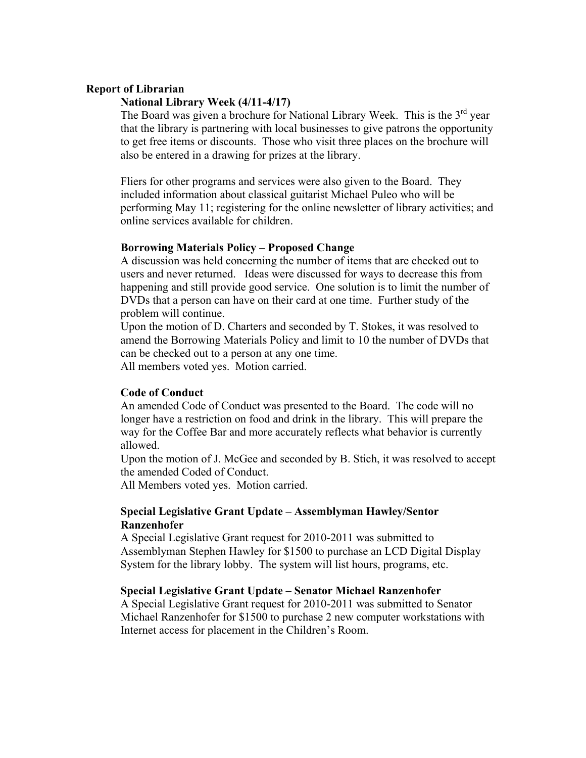#### **Report of Librarian**

#### **National Library Week (4/11-4/17)**

The Board was given a brochure for National Library Week. This is the  $3<sup>rd</sup>$  year that the library is partnering with local businesses to give patrons the opportunity to get free items or discounts. Those who visit three places on the brochure will also be entered in a drawing for prizes at the library.

Fliers for other programs and services were also given to the Board. They included information about classical guitarist Michael Puleo who will be performing May 11; registering for the online newsletter of library activities; and online services available for children.

#### **Borrowing Materials Policy – Proposed Change**

A discussion was held concerning the number of items that are checked out to users and never returned. Ideas were discussed for ways to decrease this from happening and still provide good service. One solution is to limit the number of DVDs that a person can have on their card at one time. Further study of the problem will continue.

Upon the motion of D. Charters and seconded by T. Stokes, it was resolved to amend the Borrowing Materials Policy and limit to 10 the number of DVDs that can be checked out to a person at any one time.

All members voted yes. Motion carried.

#### **Code of Conduct**

An amended Code of Conduct was presented to the Board. The code will no longer have a restriction on food and drink in the library. This will prepare the way for the Coffee Bar and more accurately reflects what behavior is currently allowed.

Upon the motion of J. McGee and seconded by B. Stich, it was resolved to accept the amended Coded of Conduct.

All Members voted yes. Motion carried.

#### **Special Legislative Grant Update – Assemblyman Hawley/Sentor Ranzenhofer**

A Special Legislative Grant request for 2010-2011 was submitted to Assemblyman Stephen Hawley for \$1500 to purchase an LCD Digital Display System for the library lobby. The system will list hours, programs, etc.

#### **Special Legislative Grant Update – Senator Michael Ranzenhofer**

A Special Legislative Grant request for 2010-2011 was submitted to Senator Michael Ranzenhofer for \$1500 to purchase 2 new computer workstations with Internet access for placement in the Children's Room.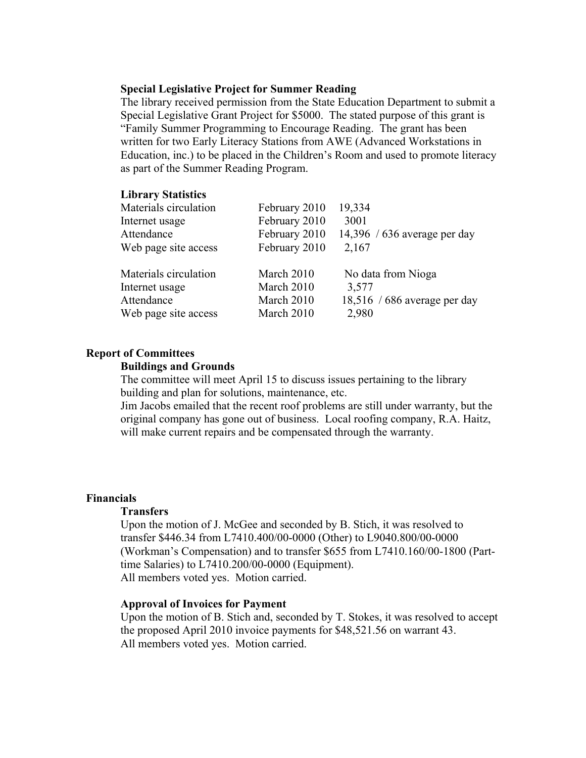#### **Special Legislative Project for Summer Reading**

The library received permission from the State Education Department to submit a Special Legislative Grant Project for \$5000. The stated purpose of this grant is "Family Summer Programming to Encourage Reading. The grant has been written for two Early Literacy Stations from AWE (Advanced Workstations in Education, inc.) to be placed in the Children's Room and used to promote literacy as part of the Summer Reading Program.

#### **Library Statistics**

| February 2010 | 19,334                       |
|---------------|------------------------------|
| February 2010 | 3001                         |
| February 2010 | 14,396 / 636 average per day |
| February 2010 | 2,167                        |
| March 2010    | No data from Nioga           |
| March 2010    | 3,577                        |
| March 2010    | 18,516 / 686 average per day |
| March 2010    | 2,980                        |
|               |                              |

#### **Report of Committees**

#### **Buildings and Grounds**

The committee will meet April 15 to discuss issues pertaining to the library building and plan for solutions, maintenance, etc.

Jim Jacobs emailed that the recent roof problems are still under warranty, but the original company has gone out of business. Local roofing company, R.A. Haitz, will make current repairs and be compensated through the warranty.

#### **Financials**

#### **Transfers**

Upon the motion of J. McGee and seconded by B. Stich, it was resolved to transfer \$446.34 from L7410.400/00-0000 (Other) to L9040.800/00-0000 (Workman's Compensation) and to transfer \$655 from L7410.160/00-1800 (Parttime Salaries) to L7410.200/00-0000 (Equipment). All members voted yes. Motion carried.

#### **Approval of Invoices for Payment**

Upon the motion of B. Stich and, seconded by T. Stokes, it was resolved to accept the proposed April 2010 invoice payments for \$48,521.56 on warrant 43. All members voted yes. Motion carried.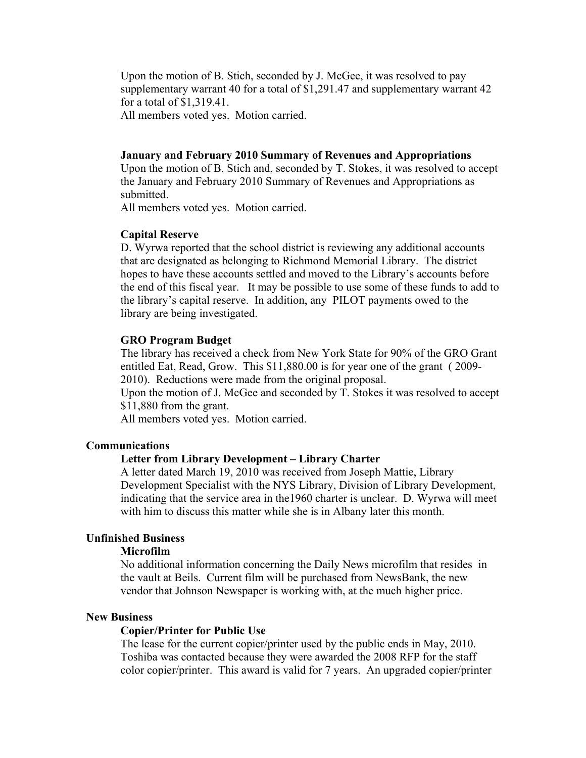Upon the motion of B. Stich, seconded by J. McGee, it was resolved to pay supplementary warrant 40 for a total of \$1,291.47 and supplementary warrant 42 for a total of \$1,319.41.

All members voted yes. Motion carried.

#### **January and February 2010 Summary of Revenues and Appropriations**

Upon the motion of B. Stich and, seconded by T. Stokes, it was resolved to accept the January and February 2010 Summary of Revenues and Appropriations as submitted.

All members voted yes. Motion carried.

#### **Capital Reserve**

D. Wyrwa reported that the school district is reviewing any additional accounts that are designated as belonging to Richmond Memorial Library. The district hopes to have these accounts settled and moved to the Library's accounts before the end of this fiscal year. It may be possible to use some of these funds to add to the library's capital reserve. In addition, any PILOT payments owed to the library are being investigated.

#### **GRO Program Budget**

The library has received a check from New York State for 90% of the GRO Grant entitled Eat, Read, Grow. This \$11,880.00 is for year one of the grant ( 2009- 2010). Reductions were made from the original proposal.

Upon the motion of J. McGee and seconded by T. Stokes it was resolved to accept \$11,880 from the grant.

All members voted yes. Motion carried.

## **Communications**

#### **Letter from Library Development – Library Charter**

A letter dated March 19, 2010 was received from Joseph Mattie, Library Development Specialist with the NYS Library, Division of Library Development, indicating that the service area in the1960 charter is unclear. D. Wyrwa will meet with him to discuss this matter while she is in Albany later this month.

#### **Unfinished Business**

#### **Microfilm**

No additional information concerning the Daily News microfilm that resides in the vault at Beils. Current film will be purchased from NewsBank, the new vendor that Johnson Newspaper is working with, at the much higher price.

#### **New Business**

#### **Copier/Printer for Public Use**

The lease for the current copier/printer used by the public ends in May, 2010. Toshiba was contacted because they were awarded the 2008 RFP for the staff color copier/printer. This award is valid for 7 years. An upgraded copier/printer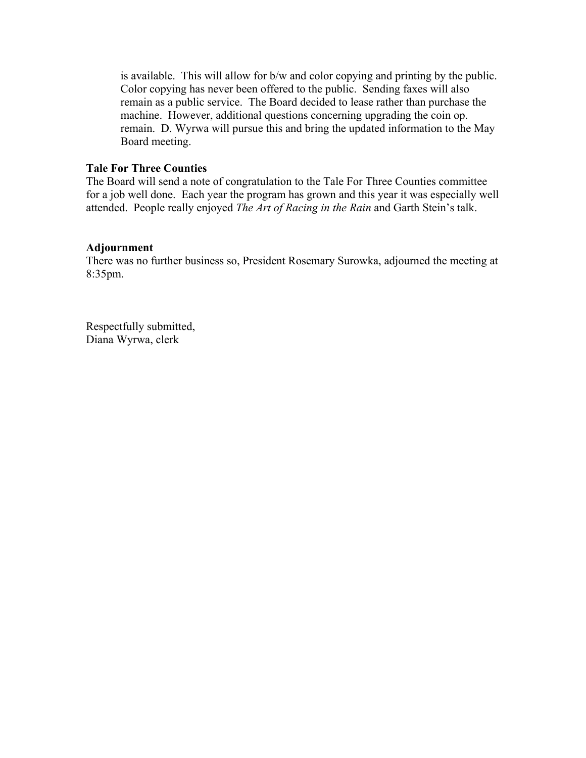is available. This will allow for b/w and color copying and printing by the public. Color copying has never been offered to the public. Sending faxes will also remain as a public service. The Board decided to lease rather than purchase the machine. However, additional questions concerning upgrading the coin op. remain. D. Wyrwa will pursue this and bring the updated information to the May Board meeting.

### **Tale For Three Counties**

The Board will send a note of congratulation to the Tale For Three Counties committee for a job well done. Each year the program has grown and this year it was especially well attended. People really enjoyed *The Art of Racing in the Rain* and Garth Stein's talk.

### **Adjournment**

There was no further business so, President Rosemary Surowka, adjourned the meeting at 8:35pm.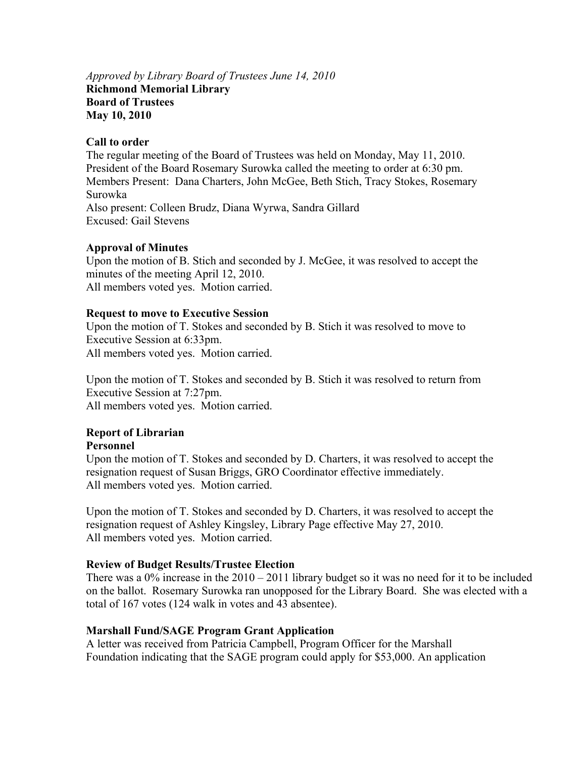## *Approved by Library Board of Trustees June 14, 2010*  **Richmond Memorial Library Board of Trustees May 10, 2010**

### **Call to order**

The regular meeting of the Board of Trustees was held on Monday, May 11, 2010. President of the Board Rosemary Surowka called the meeting to order at 6:30 pm. Members Present: Dana Charters, John McGee, Beth Stich, Tracy Stokes, Rosemary Surowka Also present: Colleen Brudz, Diana Wyrwa, Sandra Gillard Excused: Gail Stevens

## **Approval of Minutes**

Upon the motion of B. Stich and seconded by J. McGee, it was resolved to accept the minutes of the meeting April 12, 2010. All members voted yes. Motion carried.

## **Request to move to Executive Session**

Upon the motion of T. Stokes and seconded by B. Stich it was resolved to move to Executive Session at 6:33pm. All members voted yes. Motion carried.

Upon the motion of T. Stokes and seconded by B. Stich it was resolved to return from Executive Session at 7:27pm. All members voted yes. Motion carried.

# **Report of Librarian**

### **Personnel**

Upon the motion of T. Stokes and seconded by D. Charters, it was resolved to accept the resignation request of Susan Briggs, GRO Coordinator effective immediately. All members voted yes. Motion carried.

Upon the motion of T. Stokes and seconded by D. Charters, it was resolved to accept the resignation request of Ashley Kingsley, Library Page effective May 27, 2010. All members voted yes. Motion carried.

## **Review of Budget Results/Trustee Election**

There was a  $0\%$  increase in the  $2010 - 2011$  library budget so it was no need for it to be included on the ballot. Rosemary Surowka ran unopposed for the Library Board. She was elected with a total of 167 votes (124 walk in votes and 43 absentee).

## **Marshall Fund/SAGE Program Grant Application**

A letter was received from Patricia Campbell, Program Officer for the Marshall Foundation indicating that the SAGE program could apply for \$53,000. An application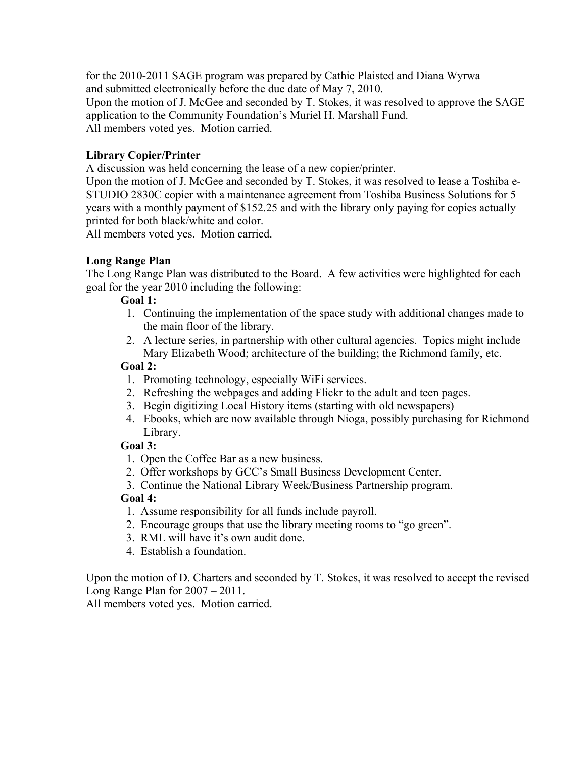for the 2010-2011 SAGE program was prepared by Cathie Plaisted and Diana Wyrwa and submitted electronically before the due date of May 7, 2010. Upon the motion of J. McGee and seconded by T. Stokes, it was resolved to approve the SAGE application to the Community Foundation's Muriel H. Marshall Fund. All members voted yes. Motion carried.

## **Library Copier/Printer**

A discussion was held concerning the lease of a new copier/printer.

Upon the motion of J. McGee and seconded by T. Stokes, it was resolved to lease a Toshiba e-STUDIO 2830C copier with a maintenance agreement from Toshiba Business Solutions for 5 years with a monthly payment of \$152.25 and with the library only paying for copies actually printed for both black/white and color.

All members voted yes. Motion carried.

### **Long Range Plan**

The Long Range Plan was distributed to the Board. A few activities were highlighted for each goal for the year 2010 including the following:

### **Goal 1:**

- 1. Continuing the implementation of the space study with additional changes made to the main floor of the library.
- 2. A lecture series, in partnership with other cultural agencies. Topics might include Mary Elizabeth Wood; architecture of the building; the Richmond family, etc.

### **Goal 2:**

- 1. Promoting technology, especially WiFi services.
- 2. Refreshing the webpages and adding Flickr to the adult and teen pages.
- 3. Begin digitizing Local History items (starting with old newspapers)
- 4. Ebooks, which are now available through Nioga, possibly purchasing for Richmond Library.

### **Goal 3:**

- 1. Open the Coffee Bar as a new business.
- 2. Offer workshops by GCC's Small Business Development Center.
- 3. Continue the National Library Week/Business Partnership program.

### **Goal 4:**

- 1. Assume responsibility for all funds include payroll.
- 2. Encourage groups that use the library meeting rooms to "go green".
- 3. RML will have it's own audit done.
- 4. Establish a foundation.

Upon the motion of D. Charters and seconded by T. Stokes, it was resolved to accept the revised Long Range Plan for 2007 – 2011.

All members voted yes. Motion carried.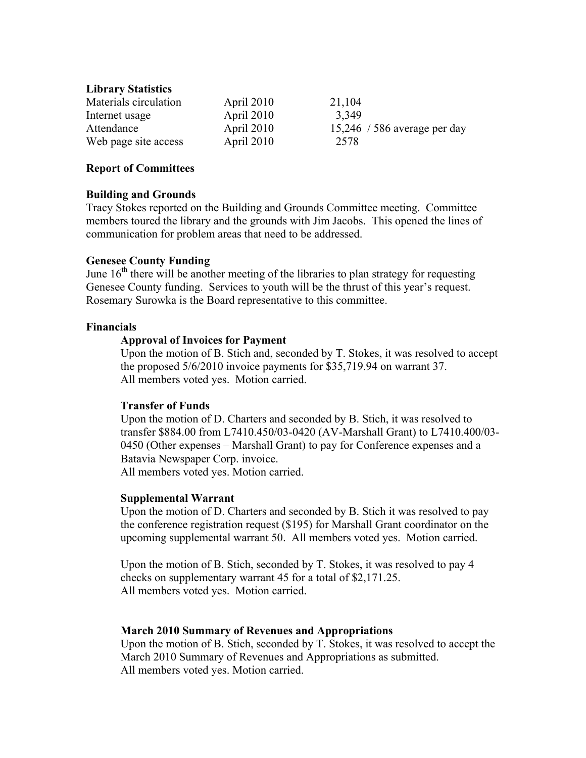### **Library Statistics**

| Materials circulation | April 2010 | 21,104                       |
|-----------------------|------------|------------------------------|
| Internet usage        | April 2010 | 3,349                        |
| Attendance            | April 2010 | 15,246 / 586 average per day |
| Web page site access  | April 2010 | 2578                         |

### **Report of Committees**

## **Building and Grounds**

Tracy Stokes reported on the Building and Grounds Committee meeting. Committee members toured the library and the grounds with Jim Jacobs. This opened the lines of communication for problem areas that need to be addressed.

## **Genesee County Funding**

June  $16<sup>th</sup>$  there will be another meeting of the libraries to plan strategy for requesting Genesee County funding. Services to youth will be the thrust of this year's request. Rosemary Surowka is the Board representative to this committee.

## **Financials**

## **Approval of Invoices for Payment**

Upon the motion of B. Stich and, seconded by T. Stokes, it was resolved to accept the proposed 5/6/2010 invoice payments for \$35,719.94 on warrant 37. All members voted yes. Motion carried.

### **Transfer of Funds**

Upon the motion of D. Charters and seconded by B. Stich, it was resolved to transfer \$884.00 from L7410.450/03-0420 (AV-Marshall Grant) to L7410.400/03- 0450 (Other expenses – Marshall Grant) to pay for Conference expenses and a Batavia Newspaper Corp. invoice. All members voted yes. Motion carried.

### **Supplemental Warrant**

Upon the motion of D. Charters and seconded by B. Stich it was resolved to pay the conference registration request (\$195) for Marshall Grant coordinator on the upcoming supplemental warrant 50. All members voted yes. Motion carried.

Upon the motion of B. Stich, seconded by T. Stokes, it was resolved to pay 4 checks on supplementary warrant 45 for a total of \$2,171.25. All members voted yes. Motion carried.

### **March 2010 Summary of Revenues and Appropriations**

Upon the motion of B. Stich, seconded by T. Stokes, it was resolved to accept the March 2010 Summary of Revenues and Appropriations as submitted. All members voted yes. Motion carried.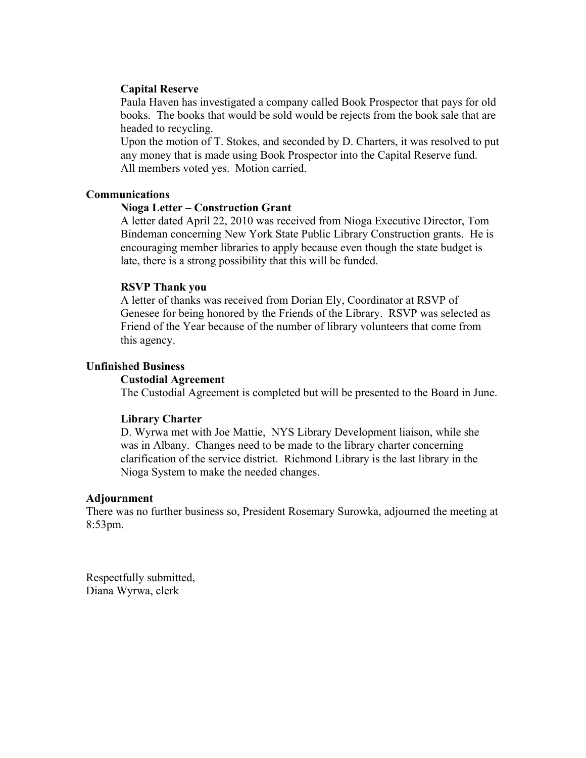#### **Capital Reserve**

Paula Haven has investigated a company called Book Prospector that pays for old books. The books that would be sold would be rejects from the book sale that are headed to recycling.

Upon the motion of T. Stokes, and seconded by D. Charters, it was resolved to put any money that is made using Book Prospector into the Capital Reserve fund. All members voted yes. Motion carried.

#### **Communications**

#### **Nioga Letter – Construction Grant**

A letter dated April 22, 2010 was received from Nioga Executive Director, Tom Bindeman concerning New York State Public Library Construction grants. He is encouraging member libraries to apply because even though the state budget is late, there is a strong possibility that this will be funded.

### **RSVP Thank you**

A letter of thanks was received from Dorian Ely, Coordinator at RSVP of Genesee for being honored by the Friends of the Library. RSVP was selected as Friend of the Year because of the number of library volunteers that come from this agency.

#### **Unfinished Business**

#### **Custodial Agreement**

The Custodial Agreement is completed but will be presented to the Board in June.

#### **Library Charter**

D. Wyrwa met with Joe Mattie, NYS Library Development liaison, while she was in Albany. Changes need to be made to the library charter concerning clarification of the service district. Richmond Library is the last library in the Nioga System to make the needed changes.

#### **Adjournment**

There was no further business so, President Rosemary Surowka, adjourned the meeting at 8:53pm.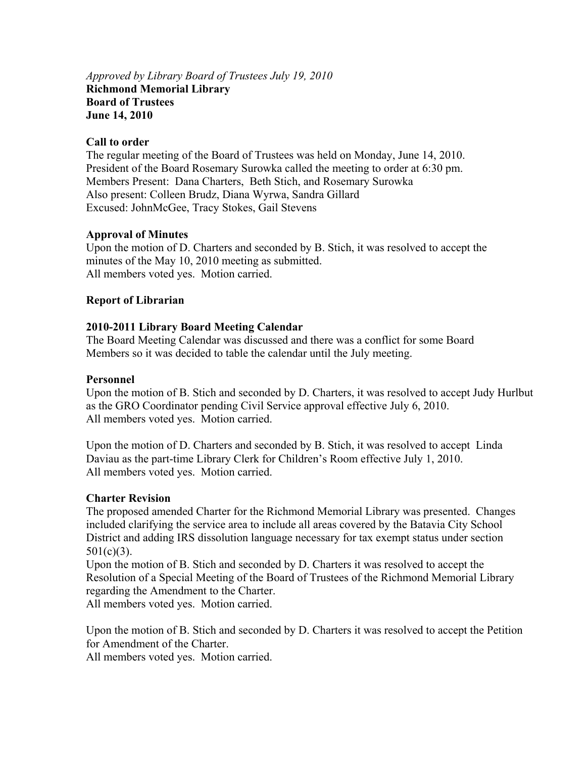## *Approved by Library Board of Trustees July 19, 2010*  **Richmond Memorial Library Board of Trustees June 14, 2010**

### **Call to order**

The regular meeting of the Board of Trustees was held on Monday, June 14, 2010. President of the Board Rosemary Surowka called the meeting to order at 6:30 pm. Members Present: Dana Charters, Beth Stich, and Rosemary Surowka Also present: Colleen Brudz, Diana Wyrwa, Sandra Gillard Excused: JohnMcGee, Tracy Stokes, Gail Stevens

## **Approval of Minutes**

Upon the motion of D. Charters and seconded by B. Stich, it was resolved to accept the minutes of the May 10, 2010 meeting as submitted. All members voted yes. Motion carried.

## **Report of Librarian**

## **2010-2011 Library Board Meeting Calendar**

The Board Meeting Calendar was discussed and there was a conflict for some Board Members so it was decided to table the calendar until the July meeting.

### **Personnel**

Upon the motion of B. Stich and seconded by D. Charters, it was resolved to accept Judy Hurlbut as the GRO Coordinator pending Civil Service approval effective July 6, 2010. All members voted yes. Motion carried.

Upon the motion of D. Charters and seconded by B. Stich, it was resolved to accept Linda Daviau as the part-time Library Clerk for Children's Room effective July 1, 2010. All members voted yes. Motion carried.

### **Charter Revision**

The proposed amended Charter for the Richmond Memorial Library was presented. Changes included clarifying the service area to include all areas covered by the Batavia City School District and adding IRS dissolution language necessary for tax exempt status under section  $501(c)(3)$ .

Upon the motion of B. Stich and seconded by D. Charters it was resolved to accept the Resolution of a Special Meeting of the Board of Trustees of the Richmond Memorial Library regarding the Amendment to the Charter.

All members voted yes. Motion carried.

Upon the motion of B. Stich and seconded by D. Charters it was resolved to accept the Petition for Amendment of the Charter.

All members voted yes. Motion carried.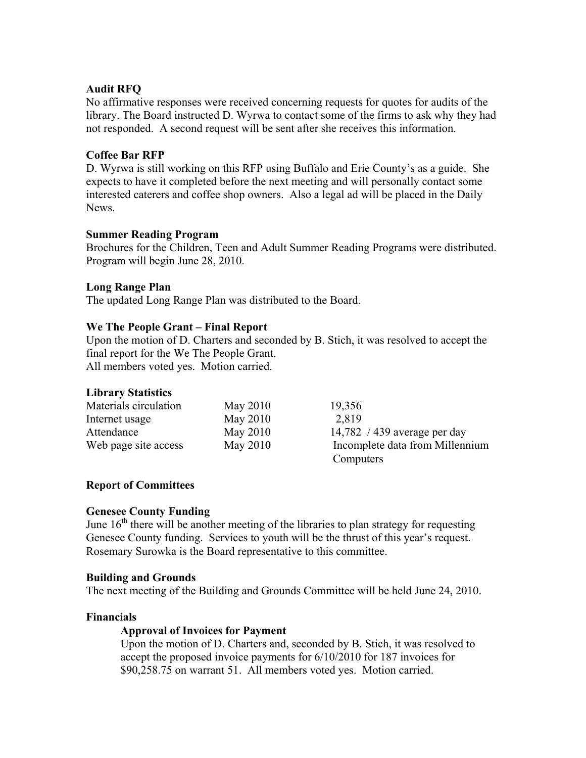## **Audit RFQ**

No affirmative responses were received concerning requests for quotes for audits of the library. The Board instructed D. Wyrwa to contact some of the firms to ask why they had not responded. A second request will be sent after she receives this information.

## **Coffee Bar RFP**

D. Wyrwa is still working on this RFP using Buffalo and Erie County's as a guide. She expects to have it completed before the next meeting and will personally contact some interested caterers and coffee shop owners. Also a legal ad will be placed in the Daily News.

### **Summer Reading Program**

Brochures for the Children, Teen and Adult Summer Reading Programs were distributed. Program will begin June 28, 2010.

### **Long Range Plan**

The updated Long Range Plan was distributed to the Board.

#### **We The People Grant – Final Report**

Upon the motion of D. Charters and seconded by B. Stich, it was resolved to accept the final report for the We The People Grant.

All members voted yes. Motion carried.

### **Library Statistics**

| Materials circulation | May 2010 | 19,356                          |
|-----------------------|----------|---------------------------------|
| Internet usage        | May 2010 | 2,819                           |
| Attendance            | May 2010 | 14,782 / 439 average per day    |
| Web page site access  | May 2010 | Incomplete data from Millennium |
|                       |          | Computers                       |

### **Report of Committees**

### **Genesee County Funding**

June  $16<sup>th</sup>$  there will be another meeting of the libraries to plan strategy for requesting Genesee County funding. Services to youth will be the thrust of this year's request. Rosemary Surowka is the Board representative to this committee.

#### **Building and Grounds**

The next meeting of the Building and Grounds Committee will be held June 24, 2010.

#### **Financials**

#### **Approval of Invoices for Payment**

Upon the motion of D. Charters and, seconded by B. Stich, it was resolved to accept the proposed invoice payments for 6/10/2010 for 187 invoices for \$90,258.75 on warrant 51. All members voted yes. Motion carried.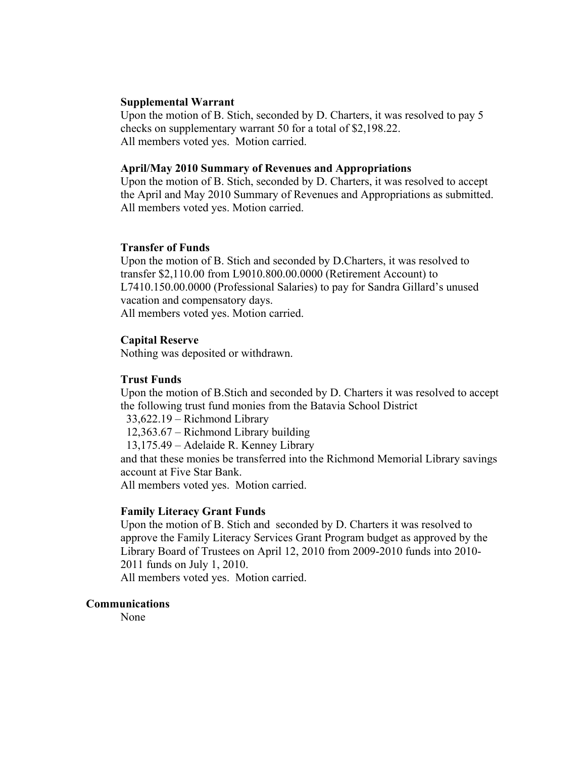#### **Supplemental Warrant**

Upon the motion of B. Stich, seconded by D. Charters, it was resolved to pay 5 checks on supplementary warrant 50 for a total of \$2,198.22. All members voted yes. Motion carried.

#### **April/May 2010 Summary of Revenues and Appropriations**

Upon the motion of B. Stich, seconded by D. Charters, it was resolved to accept the April and May 2010 Summary of Revenues and Appropriations as submitted. All members voted yes. Motion carried.

#### **Transfer of Funds**

Upon the motion of B. Stich and seconded by D.Charters, it was resolved to transfer \$2,110.00 from L9010.800.00.0000 (Retirement Account) to L7410.150.00.0000 (Professional Salaries) to pay for Sandra Gillard's unused vacation and compensatory days. All members voted yes. Motion carried.

#### **Capital Reserve**

Nothing was deposited or withdrawn.

#### **Trust Funds**

Upon the motion of B.Stich and seconded by D. Charters it was resolved to accept the following trust fund monies from the Batavia School District

33,622.19 – Richmond Library

12,363.67 – Richmond Library building

13,175.49 – Adelaide R. Kenney Library

and that these monies be transferred into the Richmond Memorial Library savings account at Five Star Bank.

All members voted yes. Motion carried.

#### **Family Literacy Grant Funds**

Upon the motion of B. Stich and seconded by D. Charters it was resolved to approve the Family Literacy Services Grant Program budget as approved by the Library Board of Trustees on April 12, 2010 from 2009-2010 funds into 2010- 2011 funds on July 1, 2010.

All members voted yes. Motion carried.

#### **Communications**

None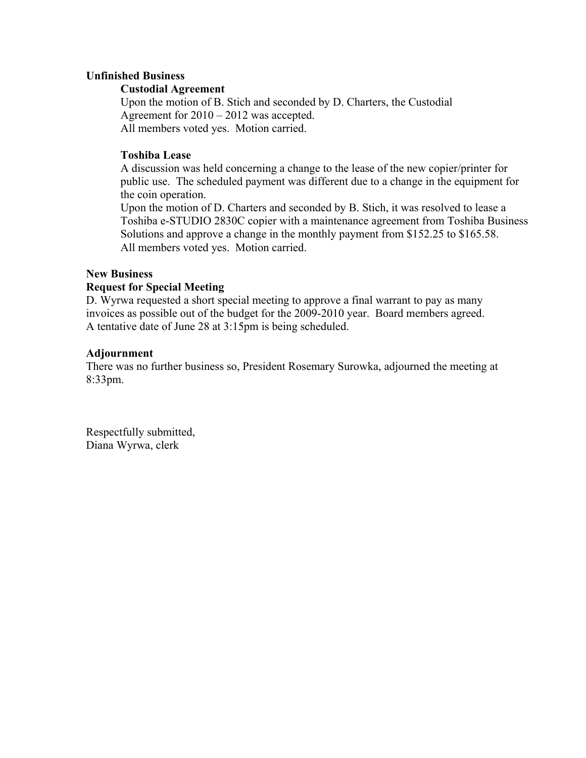### **Unfinished Business**

#### **Custodial Agreement**

Upon the motion of B. Stich and seconded by D. Charters, the Custodial Agreement for 2010 – 2012 was accepted. All members voted yes. Motion carried.

### **Toshiba Lease**

A discussion was held concerning a change to the lease of the new copier/printer for public use. The scheduled payment was different due to a change in the equipment for the coin operation.

Upon the motion of D. Charters and seconded by B. Stich, it was resolved to lease a Toshiba e-STUDIO 2830C copier with a maintenance agreement from Toshiba Business Solutions and approve a change in the monthly payment from \$152.25 to \$165.58. All members voted yes. Motion carried.

### **New Business**

### **Request for Special Meeting**

D. Wyrwa requested a short special meeting to approve a final warrant to pay as many invoices as possible out of the budget for the 2009-2010 year. Board members agreed. A tentative date of June 28 at 3:15pm is being scheduled.

#### **Adjournment**

There was no further business so, President Rosemary Surowka, adjourned the meeting at 8:33pm.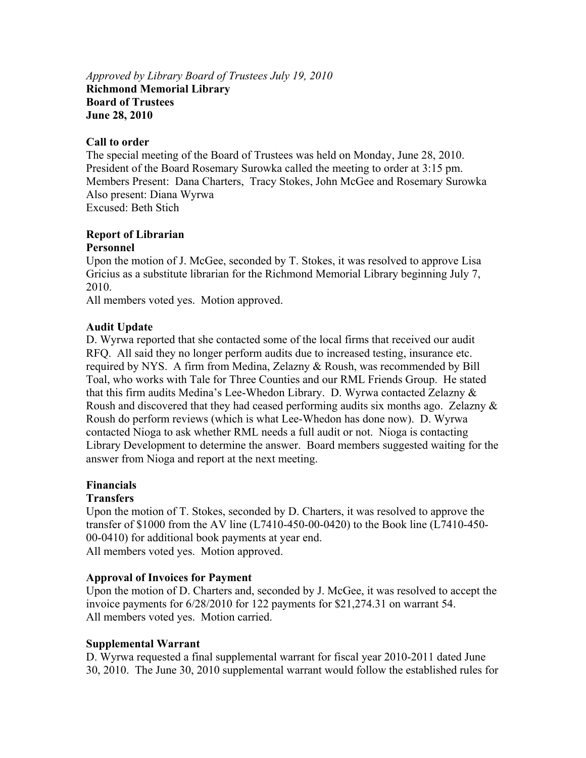## *Approved by Library Board of Trustees July 19, 2010* **Richmond Memorial Library Board of Trustees June 28, 2010**

### **Call to order**

The special meeting of the Board of Trustees was held on Monday, June 28, 2010. President of the Board Rosemary Surowka called the meeting to order at 3:15 pm. Members Present: Dana Charters, Tracy Stokes, John McGee and Rosemary Surowka Also present: Diana Wyrwa Excused: Beth Stich

### **Report of Librarian Personnel**

Upon the motion of J. McGee, seconded by T. Stokes, it was resolved to approve Lisa Gricius as a substitute librarian for the Richmond Memorial Library beginning July 7, 2010.

All members voted yes. Motion approved.

## **Audit Update**

D. Wyrwa reported that she contacted some of the local firms that received our audit RFQ. All said they no longer perform audits due to increased testing, insurance etc. required by NYS. A firm from Medina, Zelazny & Roush, was recommended by Bill Toal, who works with Tale for Three Counties and our RML Friends Group. He stated that this firm audits Medina's Lee-Whedon Library. D. Wyrwa contacted Zelazny & Roush and discovered that they had ceased performing audits six months ago. Zelazny & Roush do perform reviews (which is what Lee-Whedon has done now). D. Wyrwa contacted Nioga to ask whether RML needs a full audit or not. Nioga is contacting Library Development to determine the answer. Board members suggested waiting for the answer from Nioga and report at the next meeting.

### **Financials**

## **Transfers**

Upon the motion of T. Stokes, seconded by D. Charters, it was resolved to approve the transfer of \$1000 from the AV line (L7410-450-00-0420) to the Book line (L7410-450- 00-0410) for additional book payments at year end. All members voted yes. Motion approved.

### **Approval of Invoices for Payment**

Upon the motion of D. Charters and, seconded by J. McGee, it was resolved to accept the invoice payments for 6/28/2010 for 122 payments for \$21,274.31 on warrant 54. All members voted yes. Motion carried.

## **Supplemental Warrant**

D. Wyrwa requested a final supplemental warrant for fiscal year 2010-2011 dated June 30, 2010. The June 30, 2010 supplemental warrant would follow the established rules for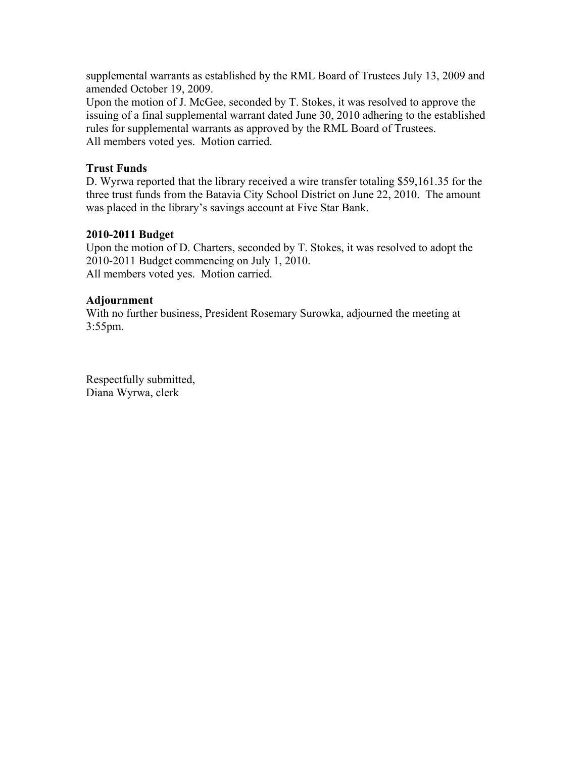supplemental warrants as established by the RML Board of Trustees July 13, 2009 and amended October 19, 2009.

Upon the motion of J. McGee, seconded by T. Stokes, it was resolved to approve the issuing of a final supplemental warrant dated June 30, 2010 adhering to the established rules for supplemental warrants as approved by the RML Board of Trustees. All members voted yes. Motion carried.

## **Trust Funds**

D. Wyrwa reported that the library received a wire transfer totaling \$59,161.35 for the three trust funds from the Batavia City School District on June 22, 2010. The amount was placed in the library's savings account at Five Star Bank.

## **2010-2011 Budget**

Upon the motion of D. Charters, seconded by T. Stokes, it was resolved to adopt the 2010-2011 Budget commencing on July 1, 2010. All members voted yes. Motion carried.

## **Adjournment**

With no further business, President Rosemary Surowka, adjourned the meeting at 3:55pm.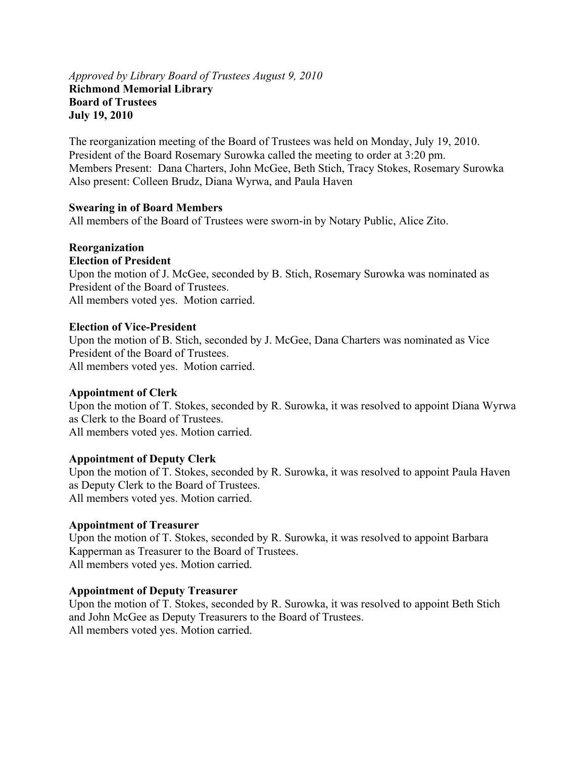### *Approved by Library Board of Trustees August 9, 2010* **Richmond Memorial Library Board of Trustees July 19, 2010**

The reorganization meeting of the Board of Trustees was held on Monday, July 19, 2010. President of the Board Rosemary Surowka called the meeting to order at 3:20 pm. Members Present: Dana Charters, John McGee, Beth Stich, Tracy Stokes, Rosemary Surowka Also present: Colleen Brudz, Diana Wyrwa, and Paula Haven

### **Swearing in of Board Members**

All members of the Board of Trustees were sworn-in by Notary Public, Alice Zito.

# **Reorganization**

## **Election of President**

Upon the motion of J. McGee, seconded by B. Stich, Rosemary Surowka was nominated as President of the Board of Trustees.

All members voted yes. Motion carried.

## **Election of Vice-President**

Upon the motion of B. Stich, seconded by J. McGee, Dana Charters was nominated as Vice President of the Board of Trustees. All members voted yes. Motion carried.

## **Appointment of Clerk**

Upon the motion of T. Stokes, seconded by R. Surowka, it was resolved to appoint Diana Wyrwa as Clerk to the Board of Trustees. All members voted yes. Motion carried.

## **Appointment of Deputy Clerk**

Upon the motion of T. Stokes, seconded by R. Surowka, it was resolved to appoint Paula Haven as Deputy Clerk to the Board of Trustees. All members voted yes. Motion carried.

### **Appointment of Treasurer**

Upon the motion of T. Stokes, seconded by R. Surowka, it was resolved to appoint Barbara Kapperman as Treasurer to the Board of Trustees. All members voted yes. Motion carried.

### **Appointment of Deputy Treasurer**

Upon the motion of T. Stokes, seconded by R. Surowka, it was resolved to appoint Beth Stich and John McGee as Deputy Treasurers to the Board of Trustees. All members voted yes. Motion carried.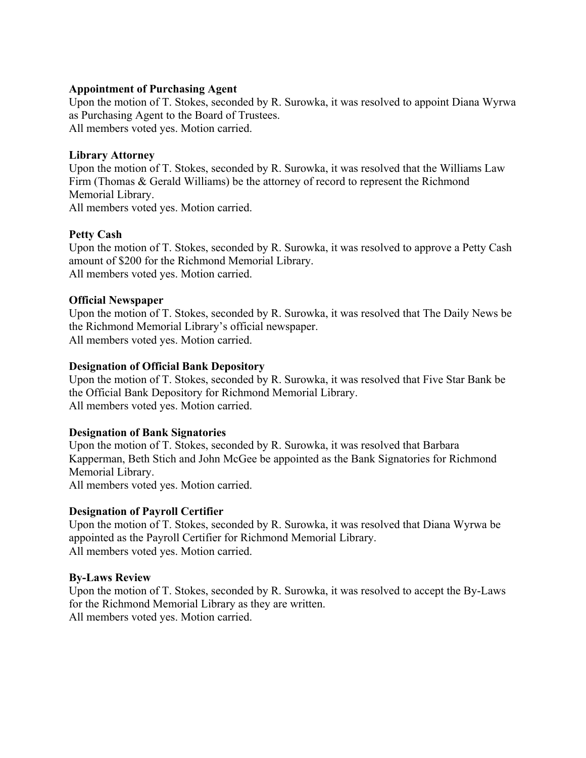### **Appointment of Purchasing Agent**

Upon the motion of T. Stokes, seconded by R. Surowka, it was resolved to appoint Diana Wyrwa as Purchasing Agent to the Board of Trustees. All members voted yes. Motion carried.

### **Library Attorney**

Upon the motion of T. Stokes, seconded by R. Surowka, it was resolved that the Williams Law Firm (Thomas & Gerald Williams) be the attorney of record to represent the Richmond Memorial Library.

All members voted yes. Motion carried.

### **Petty Cash**

Upon the motion of T. Stokes, seconded by R. Surowka, it was resolved to approve a Petty Cash amount of \$200 for the Richmond Memorial Library. All members voted yes. Motion carried.

### **Official Newspaper**

Upon the motion of T. Stokes, seconded by R. Surowka, it was resolved that The Daily News be the Richmond Memorial Library's official newspaper. All members voted yes. Motion carried.

### **Designation of Official Bank Depository**

Upon the motion of T. Stokes, seconded by R. Surowka, it was resolved that Five Star Bank be the Official Bank Depository for Richmond Memorial Library. All members voted yes. Motion carried.

### **Designation of Bank Signatories**

Upon the motion of T. Stokes, seconded by R. Surowka, it was resolved that Barbara Kapperman, Beth Stich and John McGee be appointed as the Bank Signatories for Richmond Memorial Library.

All members voted yes. Motion carried.

### **Designation of Payroll Certifier**

Upon the motion of T. Stokes, seconded by R. Surowka, it was resolved that Diana Wyrwa be appointed as the Payroll Certifier for Richmond Memorial Library. All members voted yes. Motion carried.

### **By-Laws Review**

Upon the motion of T. Stokes, seconded by R. Surowka, it was resolved to accept the By-Laws for the Richmond Memorial Library as they are written. All members voted yes. Motion carried.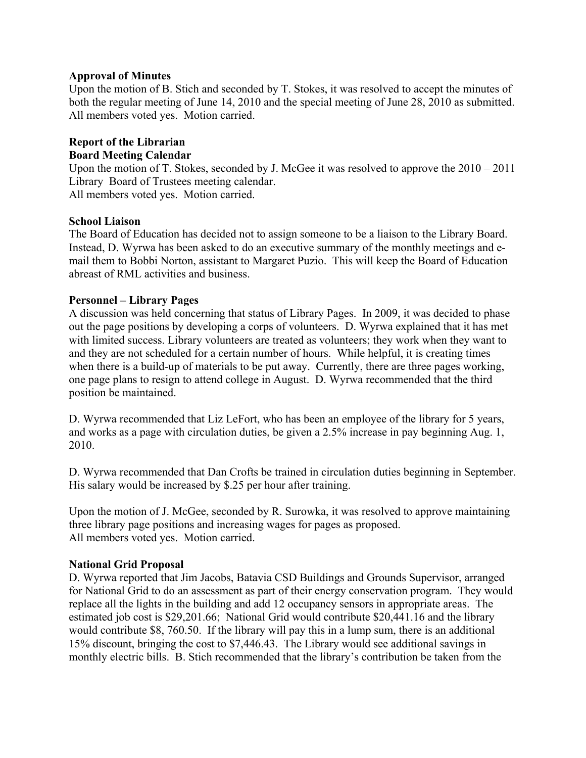## **Approval of Minutes**

Upon the motion of B. Stich and seconded by T. Stokes, it was resolved to accept the minutes of both the regular meeting of June 14, 2010 and the special meeting of June 28, 2010 as submitted. All members voted yes. Motion carried.

## **Report of the Librarian Board Meeting Calendar**

Upon the motion of T. Stokes, seconded by J. McGee it was resolved to approve the 2010 – 2011 Library Board of Trustees meeting calendar.

All members voted yes. Motion carried.

## **School Liaison**

The Board of Education has decided not to assign someone to be a liaison to the Library Board. Instead, D. Wyrwa has been asked to do an executive summary of the monthly meetings and email them to Bobbi Norton, assistant to Margaret Puzio. This will keep the Board of Education abreast of RML activities and business.

## **Personnel – Library Pages**

A discussion was held concerning that status of Library Pages. In 2009, it was decided to phase out the page positions by developing a corps of volunteers. D. Wyrwa explained that it has met with limited success. Library volunteers are treated as volunteers; they work when they want to and they are not scheduled for a certain number of hours. While helpful, it is creating times when there is a build-up of materials to be put away. Currently, there are three pages working, one page plans to resign to attend college in August. D. Wyrwa recommended that the third position be maintained.

D. Wyrwa recommended that Liz LeFort, who has been an employee of the library for 5 years, and works as a page with circulation duties, be given a 2.5% increase in pay beginning Aug. 1, 2010.

D. Wyrwa recommended that Dan Crofts be trained in circulation duties beginning in September. His salary would be increased by \$.25 per hour after training.

Upon the motion of J. McGee, seconded by R. Surowka, it was resolved to approve maintaining three library page positions and increasing wages for pages as proposed. All members voted yes. Motion carried.

## **National Grid Proposal**

D. Wyrwa reported that Jim Jacobs, Batavia CSD Buildings and Grounds Supervisor, arranged for National Grid to do an assessment as part of their energy conservation program. They would replace all the lights in the building and add 12 occupancy sensors in appropriate areas. The estimated job cost is \$29,201.66; National Grid would contribute \$20,441.16 and the library would contribute \$8, 760.50. If the library will pay this in a lump sum, there is an additional 15% discount, bringing the cost to \$7,446.43. The Library would see additional savings in monthly electric bills. B. Stich recommended that the library's contribution be taken from the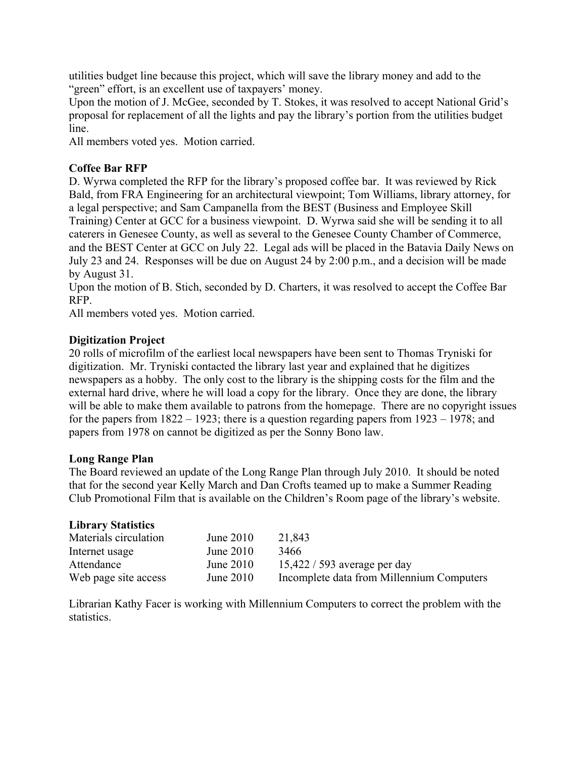utilities budget line because this project, which will save the library money and add to the "green" effort, is an excellent use of taxpayers' money.

Upon the motion of J. McGee, seconded by T. Stokes, it was resolved to accept National Grid's proposal for replacement of all the lights and pay the library's portion from the utilities budget line.

All members voted yes. Motion carried.

## **Coffee Bar RFP**

D. Wyrwa completed the RFP for the library's proposed coffee bar. It was reviewed by Rick Bald, from FRA Engineering for an architectural viewpoint; Tom Williams, library attorney, for a legal perspective; and Sam Campanella from the BEST (Business and Employee Skill Training) Center at GCC for a business viewpoint. D. Wyrwa said she will be sending it to all caterers in Genesee County, as well as several to the Genesee County Chamber of Commerce, and the BEST Center at GCC on July 22. Legal ads will be placed in the Batavia Daily News on July 23 and 24. Responses will be due on August 24 by 2:00 p.m., and a decision will be made by August 31.

Upon the motion of B. Stich, seconded by D. Charters, it was resolved to accept the Coffee Bar RFP.

All members voted yes. Motion carried.

## **Digitization Project**

20 rolls of microfilm of the earliest local newspapers have been sent to Thomas Tryniski for digitization. Mr. Tryniski contacted the library last year and explained that he digitizes newspapers as a hobby. The only cost to the library is the shipping costs for the film and the external hard drive, where he will load a copy for the library. Once they are done, the library will be able to make them available to patrons from the homepage. There are no copyright issues for the papers from  $1822 - 1923$ ; there is a question regarding papers from  $1923 - 1978$ ; and papers from 1978 on cannot be digitized as per the Sonny Bono law.

### **Long Range Plan**

The Board reviewed an update of the Long Range Plan through July 2010. It should be noted that for the second year Kelly March and Dan Crofts teamed up to make a Summer Reading Club Promotional Film that is available on the Children's Room page of the library's website.

### **Library Statistics**

| Materials circulation | June $2010$ | 21,843                                    |
|-----------------------|-------------|-------------------------------------------|
| Internet usage        | June $2010$ | 3466                                      |
| Attendance            | June $2010$ | $15,422/593$ average per day              |
| Web page site access  | June $2010$ | Incomplete data from Millennium Computers |

Librarian Kathy Facer is working with Millennium Computers to correct the problem with the statistics.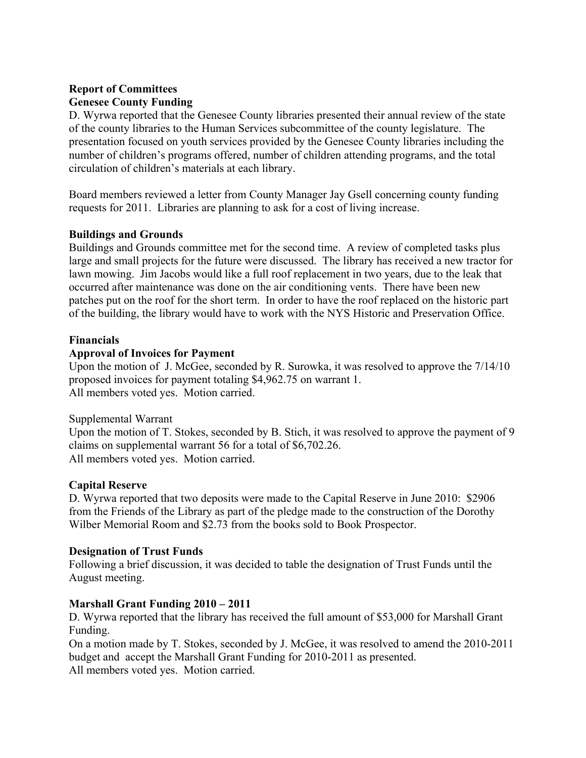## **Report of Committees Genesee County Funding**

D. Wyrwa reported that the Genesee County libraries presented their annual review of the state of the county libraries to the Human Services subcommittee of the county legislature. The presentation focused on youth services provided by the Genesee County libraries including the number of children's programs offered, number of children attending programs, and the total circulation of children's materials at each library.

Board members reviewed a letter from County Manager Jay Gsell concerning county funding requests for 2011. Libraries are planning to ask for a cost of living increase.

## **Buildings and Grounds**

Buildings and Grounds committee met for the second time. A review of completed tasks plus large and small projects for the future were discussed. The library has received a new tractor for lawn mowing. Jim Jacobs would like a full roof replacement in two years, due to the leak that occurred after maintenance was done on the air conditioning vents. There have been new patches put on the roof for the short term. In order to have the roof replaced on the historic part of the building, the library would have to work with the NYS Historic and Preservation Office.

## **Financials**

## **Approval of Invoices for Payment**

Upon the motion of J. McGee, seconded by R. Surowka, it was resolved to approve the 7/14/10 proposed invoices for payment totaling \$4,962.75 on warrant 1. All members voted yes. Motion carried.

## Supplemental Warrant

Upon the motion of T. Stokes, seconded by B. Stich, it was resolved to approve the payment of 9 claims on supplemental warrant 56 for a total of \$6,702.26. All members voted yes. Motion carried.

## **Capital Reserve**

D. Wyrwa reported that two deposits were made to the Capital Reserve in June 2010: \$2906 from the Friends of the Library as part of the pledge made to the construction of the Dorothy Wilber Memorial Room and \$2.73 from the books sold to Book Prospector.

## **Designation of Trust Funds**

Following a brief discussion, it was decided to table the designation of Trust Funds until the August meeting.

## **Marshall Grant Funding 2010 – 2011**

D. Wyrwa reported that the library has received the full amount of \$53,000 for Marshall Grant Funding.

On a motion made by T. Stokes, seconded by J. McGee, it was resolved to amend the 2010-2011 budget and accept the Marshall Grant Funding for 2010-2011 as presented. All members voted yes. Motion carried.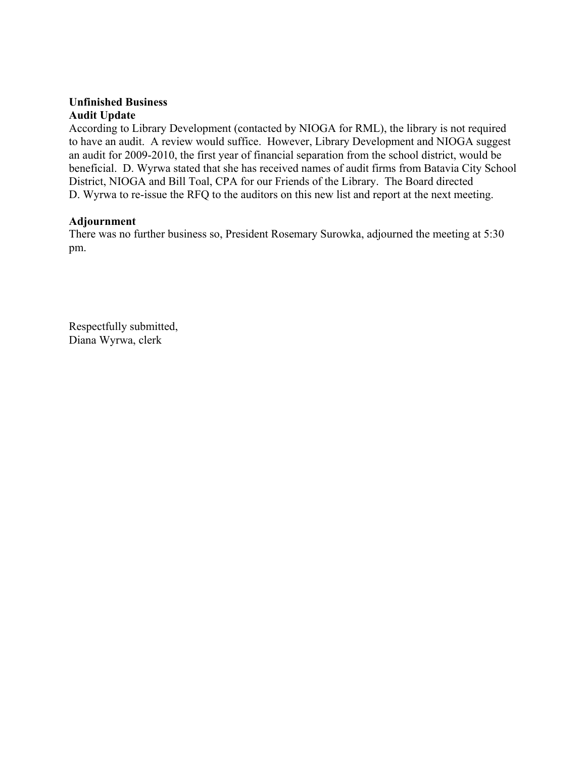## **Unfinished Business Audit Update**

According to Library Development (contacted by NIOGA for RML), the library is not required to have an audit. A review would suffice. However, Library Development and NIOGA suggest an audit for 2009-2010, the first year of financial separation from the school district, would be beneficial. D. Wyrwa stated that she has received names of audit firms from Batavia City School District, NIOGA and Bill Toal, CPA for our Friends of the Library. The Board directed D. Wyrwa to re-issue the RFQ to the auditors on this new list and report at the next meeting.

## **Adjournment**

There was no further business so, President Rosemary Surowka, adjourned the meeting at 5:30 pm.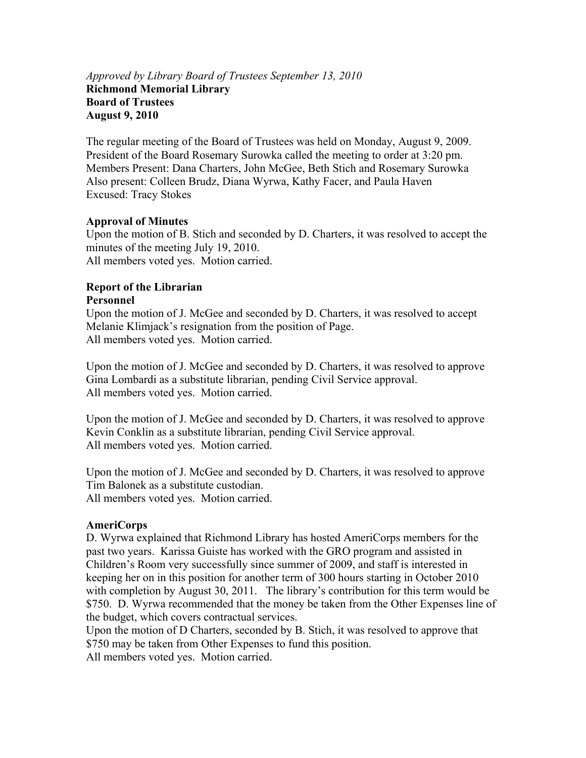## *Approved by Library Board of Trustees September 13, 2010* **Richmond Memorial Library Board of Trustees August 9, 2010**

The regular meeting of the Board of Trustees was held on Monday, August 9, 2009. President of the Board Rosemary Surowka called the meeting to order at 3:20 pm. Members Present: Dana Charters, John McGee, Beth Stich and Rosemary Surowka Also present: Colleen Brudz, Diana Wyrwa, Kathy Facer, and Paula Haven Excused: Tracy Stokes

## **Approval of Minutes**

Upon the motion of B. Stich and seconded by D. Charters, it was resolved to accept the minutes of the meeting July 19, 2010. All members voted yes. Motion carried.

### **Report of the Librarian Personnel**

Upon the motion of J. McGee and seconded by D. Charters, it was resolved to accept Melanie Klimjack's resignation from the position of Page. All members voted yes. Motion carried.

Upon the motion of J. McGee and seconded by D. Charters, it was resolved to approve Gina Lombardi as a substitute librarian, pending Civil Service approval. All members voted yes. Motion carried.

Upon the motion of J. McGee and seconded by D. Charters, it was resolved to approve Kevin Conklin as a substitute librarian, pending Civil Service approval. All members voted yes. Motion carried.

Upon the motion of J. McGee and seconded by D. Charters, it was resolved to approve Tim Balonek as a substitute custodian. All members voted yes. Motion carried.

## **AmeriCorps**

D. Wyrwa explained that Richmond Library has hosted AmeriCorps members for the past two years. Karissa Guiste has worked with the GRO program and assisted in Children's Room very successfully since summer of 2009, and staff is interested in keeping her on in this position for another term of 300 hours starting in October 2010 with completion by August 30, 2011. The library's contribution for this term would be \$750. D. Wyrwa recommended that the money be taken from the Other Expenses line of the budget, which covers contractual services.

Upon the motion of D Charters, seconded by B. Stich, it was resolved to approve that \$750 may be taken from Other Expenses to fund this position.

All members voted yes. Motion carried.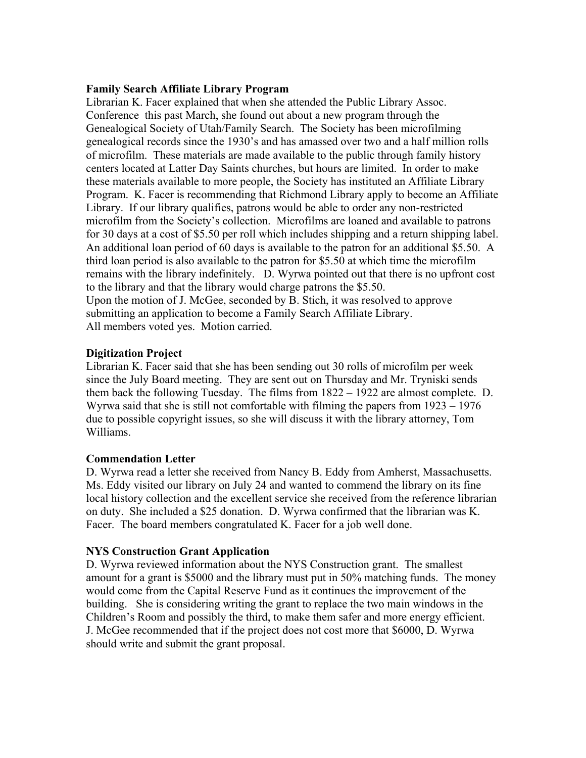#### **Family Search Affiliate Library Program**

Librarian K. Facer explained that when she attended the Public Library Assoc. Conference this past March, she found out about a new program through the Genealogical Society of Utah/Family Search. The Society has been microfilming genealogical records since the 1930's and has amassed over two and a half million rolls of microfilm. These materials are made available to the public through family history centers located at Latter Day Saints churches, but hours are limited. In order to make these materials available to more people, the Society has instituted an Affiliate Library Program. K. Facer is recommending that Richmond Library apply to become an Affiliate Library. If our library qualifies, patrons would be able to order any non-restricted microfilm from the Society's collection. Microfilms are loaned and available to patrons for 30 days at a cost of \$5.50 per roll which includes shipping and a return shipping label. An additional loan period of 60 days is available to the patron for an additional \$5.50. A third loan period is also available to the patron for \$5.50 at which time the microfilm remains with the library indefinitely. D. Wyrwa pointed out that there is no upfront cost to the library and that the library would charge patrons the \$5.50. Upon the motion of J. McGee, seconded by B. Stich, it was resolved to approve submitting an application to become a Family Search Affiliate Library. All members voted yes. Motion carried.

### **Digitization Project**

Librarian K. Facer said that she has been sending out 30 rolls of microfilm per week since the July Board meeting. They are sent out on Thursday and Mr. Tryniski sends them back the following Tuesday. The films from 1822 – 1922 are almost complete. D. Wyrwa said that she is still not comfortable with filming the papers from 1923 – 1976 due to possible copyright issues, so she will discuss it with the library attorney, Tom Williams.

#### **Commendation Letter**

D. Wyrwa read a letter she received from Nancy B. Eddy from Amherst, Massachusetts. Ms. Eddy visited our library on July 24 and wanted to commend the library on its fine local history collection and the excellent service she received from the reference librarian on duty. She included a \$25 donation. D. Wyrwa confirmed that the librarian was K. Facer. The board members congratulated K. Facer for a job well done.

### **NYS Construction Grant Application**

D. Wyrwa reviewed information about the NYS Construction grant. The smallest amount for a grant is \$5000 and the library must put in 50% matching funds. The money would come from the Capital Reserve Fund as it continues the improvement of the building. She is considering writing the grant to replace the two main windows in the Children's Room and possibly the third, to make them safer and more energy efficient. J. McGee recommended that if the project does not cost more that \$6000, D. Wyrwa should write and submit the grant proposal.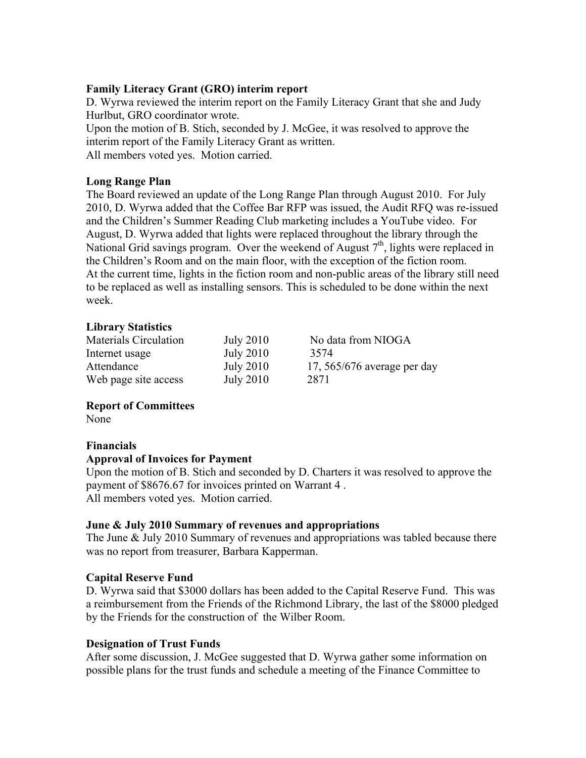## **Family Literacy Grant (GRO) interim report**

D. Wyrwa reviewed the interim report on the Family Literacy Grant that she and Judy Hurlbut, GRO coordinator wrote.

Upon the motion of B. Stich, seconded by J. McGee, it was resolved to approve the interim report of the Family Literacy Grant as written. All members voted yes. Motion carried.

## **Long Range Plan**

The Board reviewed an update of the Long Range Plan through August 2010. For July 2010, D. Wyrwa added that the Coffee Bar RFP was issued, the Audit RFQ was re-issued and the Children's Summer Reading Club marketing includes a YouTube video. For August, D. Wyrwa added that lights were replaced throughout the library through the National Grid savings program. Over the weekend of August  $7<sup>th</sup>$ , lights were replaced in the Children's Room and on the main floor, with the exception of the fiction room. At the current time, lights in the fiction room and non-public areas of the library still need to be replaced as well as installing sensors. This is scheduled to be done within the next week.

## **Library Statistics**

| Materials Circulation | <b>July 2010</b> | No data from NIOGA            |
|-----------------------|------------------|-------------------------------|
| Internet usage        | <b>July 2010</b> | 3574                          |
| Attendance            | <b>July 2010</b> | 17, $565/676$ average per day |
| Web page site access  | <b>July 2010</b> | 2871                          |

## **Report of Committees**

None

### **Financials**

### **Approval of Invoices for Payment**

Upon the motion of B. Stich and seconded by D. Charters it was resolved to approve the payment of \$8676.67 for invoices printed on Warrant 4 . All members voted yes. Motion carried.

## **June & July 2010 Summary of revenues and appropriations**

The June & July 2010 Summary of revenues and appropriations was tabled because there was no report from treasurer, Barbara Kapperman.

### **Capital Reserve Fund**

D. Wyrwa said that \$3000 dollars has been added to the Capital Reserve Fund. This was a reimbursement from the Friends of the Richmond Library, the last of the \$8000 pledged by the Friends for the construction of the Wilber Room.

## **Designation of Trust Funds**

After some discussion, J. McGee suggested that D. Wyrwa gather some information on possible plans for the trust funds and schedule a meeting of the Finance Committee to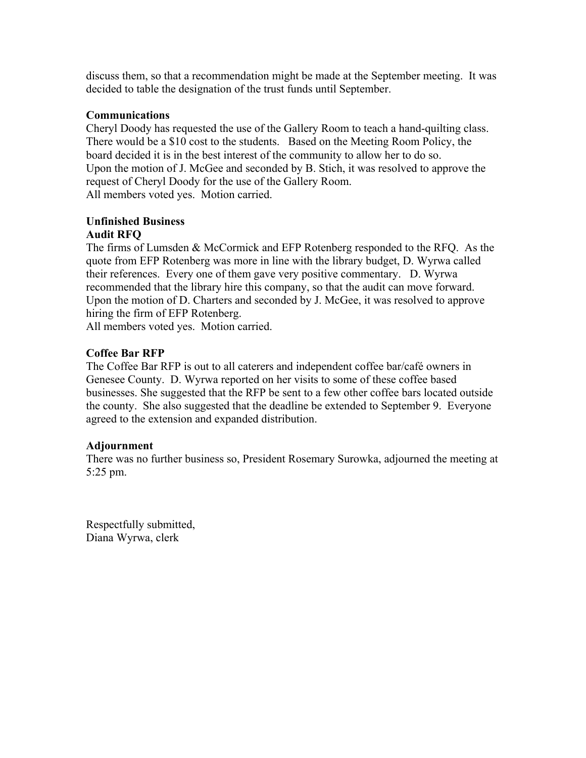discuss them, so that a recommendation might be made at the September meeting. It was decided to table the designation of the trust funds until September.

## **Communications**

Cheryl Doody has requested the use of the Gallery Room to teach a hand-quilting class. There would be a \$10 cost to the students. Based on the Meeting Room Policy, the board decided it is in the best interest of the community to allow her to do so. Upon the motion of J. McGee and seconded by B. Stich, it was resolved to approve the request of Cheryl Doody for the use of the Gallery Room. All members voted yes. Motion carried.

# **Unfinished Business**

## **Audit RFQ**

The firms of Lumsden & McCormick and EFP Rotenberg responded to the RFQ. As the quote from EFP Rotenberg was more in line with the library budget, D. Wyrwa called their references. Every one of them gave very positive commentary. D. Wyrwa recommended that the library hire this company, so that the audit can move forward. Upon the motion of D. Charters and seconded by J. McGee, it was resolved to approve hiring the firm of EFP Rotenberg.

All members voted yes. Motion carried.

## **Coffee Bar RFP**

The Coffee Bar RFP is out to all caterers and independent coffee bar/café owners in Genesee County. D. Wyrwa reported on her visits to some of these coffee based businesses. She suggested that the RFP be sent to a few other coffee bars located outside the county. She also suggested that the deadline be extended to September 9. Everyone agreed to the extension and expanded distribution.

### **Adjournment**

There was no further business so, President Rosemary Surowka, adjourned the meeting at 5:25 pm.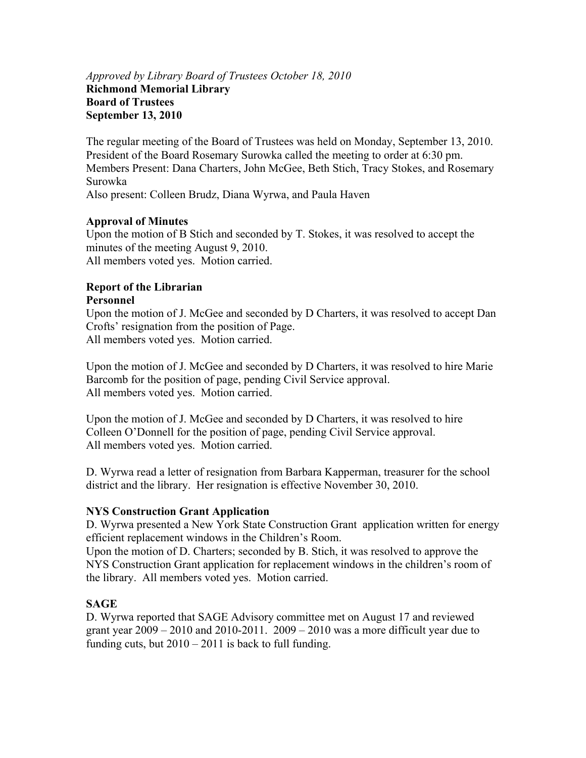## *Approved by Library Board of Trustees October 18, 2010* **Richmond Memorial Library Board of Trustees September 13, 2010**

The regular meeting of the Board of Trustees was held on Monday, September 13, 2010. President of the Board Rosemary Surowka called the meeting to order at 6:30 pm. Members Present: Dana Charters, John McGee, Beth Stich, Tracy Stokes, and Rosemary Surowka Also present: Colleen Brudz, Diana Wyrwa, and Paula Haven

## **Approval of Minutes**

Upon the motion of B Stich and seconded by T. Stokes, it was resolved to accept the minutes of the meeting August 9, 2010. All members voted yes. Motion carried.

### **Report of the Librarian Personnel**

Upon the motion of J. McGee and seconded by D Charters, it was resolved to accept Dan Crofts' resignation from the position of Page. All members voted yes. Motion carried.

Upon the motion of J. McGee and seconded by D Charters, it was resolved to hire Marie Barcomb for the position of page, pending Civil Service approval. All members voted yes. Motion carried.

Upon the motion of J. McGee and seconded by D Charters, it was resolved to hire Colleen O'Donnell for the position of page, pending Civil Service approval. All members voted yes. Motion carried.

D. Wyrwa read a letter of resignation from Barbara Kapperman, treasurer for the school district and the library. Her resignation is effective November 30, 2010.

## **NYS Construction Grant Application**

D. Wyrwa presented a New York State Construction Grant application written for energy efficient replacement windows in the Children's Room.

Upon the motion of D. Charters; seconded by B. Stich, it was resolved to approve the NYS Construction Grant application for replacement windows in the children's room of the library. All members voted yes. Motion carried.

## **SAGE**

D. Wyrwa reported that SAGE Advisory committee met on August 17 and reviewed grant year  $2009 - 2010$  and  $2010-2011$ .  $2009 - 2010$  was a more difficult year due to funding cuts, but  $2010 - 2011$  is back to full funding.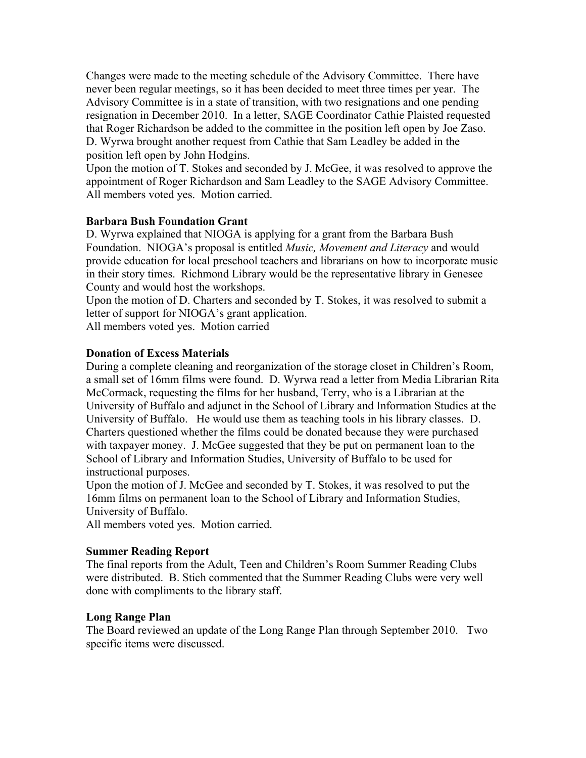Changes were made to the meeting schedule of the Advisory Committee. There have never been regular meetings, so it has been decided to meet three times per year. The Advisory Committee is in a state of transition, with two resignations and one pending resignation in December 2010. In a letter, SAGE Coordinator Cathie Plaisted requested that Roger Richardson be added to the committee in the position left open by Joe Zaso. D. Wyrwa brought another request from Cathie that Sam Leadley be added in the position left open by John Hodgins.

Upon the motion of T. Stokes and seconded by J. McGee, it was resolved to approve the appointment of Roger Richardson and Sam Leadley to the SAGE Advisory Committee. All members voted yes. Motion carried.

### **Barbara Bush Foundation Grant**

D. Wyrwa explained that NIOGA is applying for a grant from the Barbara Bush Foundation. NIOGA's proposal is entitled *Music, Movement and Literacy* and would provide education for local preschool teachers and librarians on how to incorporate music in their story times. Richmond Library would be the representative library in Genesee County and would host the workshops.

Upon the motion of D. Charters and seconded by T. Stokes, it was resolved to submit a letter of support for NIOGA's grant application.

All members voted yes. Motion carried

## **Donation of Excess Materials**

During a complete cleaning and reorganization of the storage closet in Children's Room, a small set of 16mm films were found. D. Wyrwa read a letter from Media Librarian Rita McCormack, requesting the films for her husband, Terry, who is a Librarian at the University of Buffalo and adjunct in the School of Library and Information Studies at the University of Buffalo. He would use them as teaching tools in his library classes. D. Charters questioned whether the films could be donated because they were purchased with taxpayer money. J. McGee suggested that they be put on permanent loan to the School of Library and Information Studies, University of Buffalo to be used for instructional purposes.

Upon the motion of J. McGee and seconded by T. Stokes, it was resolved to put the 16mm films on permanent loan to the School of Library and Information Studies, University of Buffalo.

All members voted yes. Motion carried.

### **Summer Reading Report**

The final reports from the Adult, Teen and Children's Room Summer Reading Clubs were distributed. B. Stich commented that the Summer Reading Clubs were very well done with compliments to the library staff.

### **Long Range Plan**

The Board reviewed an update of the Long Range Plan through September 2010.Two specific items were discussed.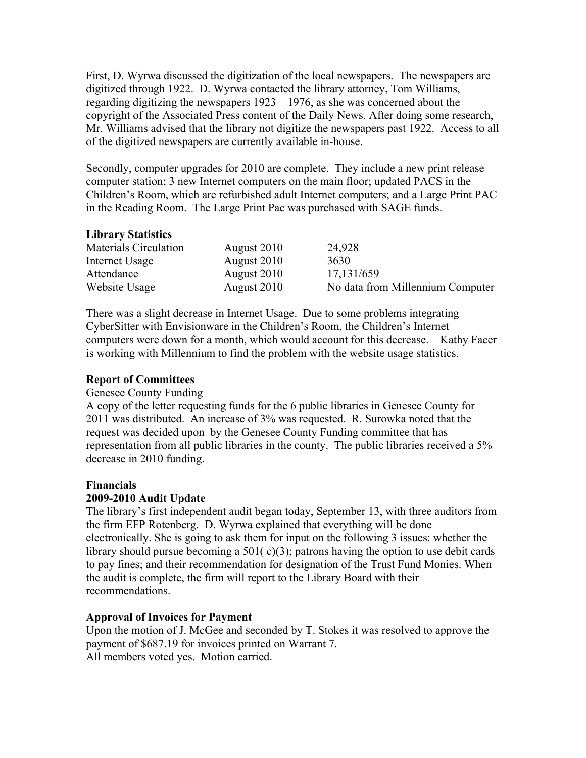First, D. Wyrwa discussed the digitization of the local newspapers. The newspapers are digitized through 1922. D. Wyrwa contacted the library attorney, Tom Williams, regarding digitizing the newspapers 1923 – 1976, as she was concerned about the copyright of the Associated Press content of the Daily News. After doing some research, Mr. Williams advised that the library not digitize the newspapers past 1922. Access to all of the digitized newspapers are currently available in-house.

Secondly, computer upgrades for 2010 are complete. They include a new print release computer station; 3 new Internet computers on the main floor; updated PACS in the Children's Room, which are refurbished adult Internet computers; and a Large Print PAC in the Reading Room. The Large Print Pac was purchased with SAGE funds.

## **Library Statistics**

| Materials Circulation | August 2010 | 24,928                           |
|-----------------------|-------------|----------------------------------|
| Internet Usage        | August 2010 | 3630                             |
| Attendance            | August 2010 | 17,131/659                       |
| Website Usage         | August 2010 | No data from Millennium Computer |

There was a slight decrease in Internet Usage. Due to some problems integrating CyberSitter with Envisionware in the Children's Room, the Children's Internet computers were down for a month, which would account for this decrease. Kathy Facer is working with Millennium to find the problem with the website usage statistics.

### **Report of Committees**

### Genesee County Funding

A copy of the letter requesting funds for the 6 public libraries in Genesee County for 2011 was distributed. An increase of 3% was requested. R. Surowka noted that the request was decided upon by the Genesee County Funding committee that has representation from all public libraries in the county. The public libraries received a 5% decrease in 2010 funding.

### **Financials**

### **2009-2010 Audit Update**

The library's first independent audit began today, September 13, with three auditors from the firm EFP Rotenberg. D. Wyrwa explained that everything will be done electronically. She is going to ask them for input on the following 3 issues: whether the library should pursue becoming a  $501(c)(3)$ ; patrons having the option to use debit cards to pay fines; and their recommendation for designation of the Trust Fund Monies. When the audit is complete, the firm will report to the Library Board with their recommendations.

### **Approval of Invoices for Payment**

Upon the motion of J. McGee and seconded by T. Stokes it was resolved to approve the payment of \$687.19 for invoices printed on Warrant 7. All members voted yes. Motion carried.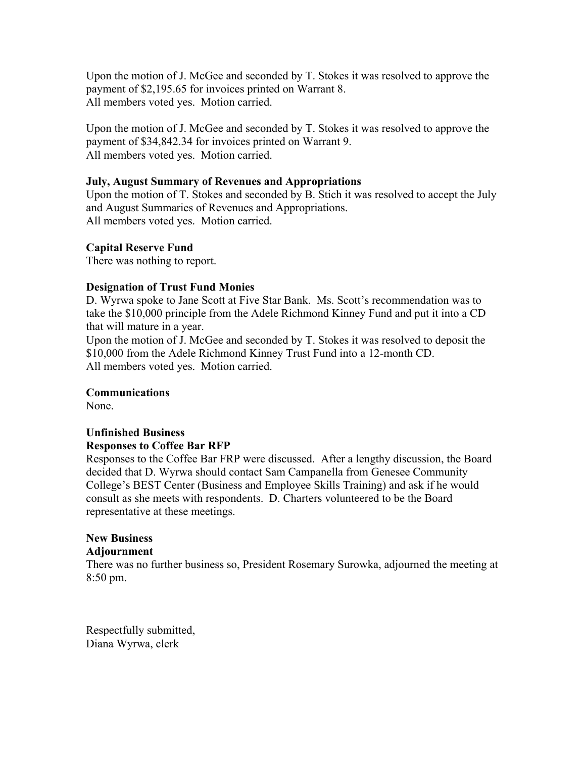Upon the motion of J. McGee and seconded by T. Stokes it was resolved to approve the payment of \$2,195.65 for invoices printed on Warrant 8. All members voted yes. Motion carried.

Upon the motion of J. McGee and seconded by T. Stokes it was resolved to approve the payment of \$34,842.34 for invoices printed on Warrant 9. All members voted yes. Motion carried.

## **July, August Summary of Revenues and Appropriations**

Upon the motion of T. Stokes and seconded by B. Stich it was resolved to accept the July and August Summaries of Revenues and Appropriations. All members voted yes. Motion carried.

## **Capital Reserve Fund**

There was nothing to report.

### **Designation of Trust Fund Monies**

D. Wyrwa spoke to Jane Scott at Five Star Bank. Ms. Scott's recommendation was to take the \$10,000 principle from the Adele Richmond Kinney Fund and put it into a CD that will mature in a year.

Upon the motion of J. McGee and seconded by T. Stokes it was resolved to deposit the \$10,000 from the Adele Richmond Kinney Trust Fund into a 12-month CD. All members voted yes. Motion carried.

### **Communications**

None.

## **Unfinished Business Responses to Coffee Bar RFP**

Responses to the Coffee Bar FRP were discussed. After a lengthy discussion, the Board decided that D. Wyrwa should contact Sam Campanella from Genesee Community College's BEST Center (Business and Employee Skills Training) and ask if he would consult as she meets with respondents. D. Charters volunteered to be the Board representative at these meetings.

## **New Business**

### **Adjournment**

There was no further business so, President Rosemary Surowka, adjourned the meeting at 8:50 pm.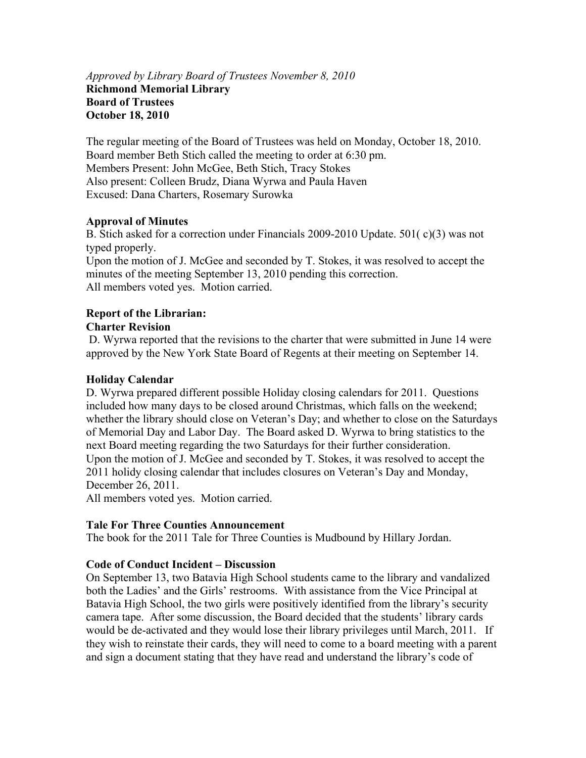## *Approved by Library Board of Trustees November 8, 2010* **Richmond Memorial Library Board of Trustees October 18, 2010**

The regular meeting of the Board of Trustees was held on Monday, October 18, 2010. Board member Beth Stich called the meeting to order at 6:30 pm. Members Present: John McGee, Beth Stich, Tracy Stokes Also present: Colleen Brudz, Diana Wyrwa and Paula Haven Excused: Dana Charters, Rosemary Surowka

## **Approval of Minutes**

B. Stich asked for a correction under Financials 2009-2010 Update. 501( c)(3) was not typed properly.

Upon the motion of J. McGee and seconded by T. Stokes, it was resolved to accept the minutes of the meeting September 13, 2010 pending this correction. All members voted yes. Motion carried.

# **Report of the Librarian:**

## **Charter Revision**

 D. Wyrwa reported that the revisions to the charter that were submitted in June 14 were approved by the New York State Board of Regents at their meeting on September 14.

## **Holiday Calendar**

D. Wyrwa prepared different possible Holiday closing calendars for 2011. Questions included how many days to be closed around Christmas, which falls on the weekend; whether the library should close on Veteran's Day; and whether to close on the Saturdays of Memorial Day and Labor Day. The Board asked D. Wyrwa to bring statistics to the next Board meeting regarding the two Saturdays for their further consideration. Upon the motion of J. McGee and seconded by T. Stokes, it was resolved to accept the 2011 holidy closing calendar that includes closures on Veteran's Day and Monday, December 26, 2011.

All members voted yes. Motion carried.

### **Tale For Three Counties Announcement**

The book for the 2011 Tale for Three Counties is Mudbound by Hillary Jordan.

## **Code of Conduct Incident – Discussion**

On September 13, two Batavia High School students came to the library and vandalized both the Ladies' and the Girls' restrooms. With assistance from the Vice Principal at Batavia High School, the two girls were positively identified from the library's security camera tape. After some discussion, the Board decided that the students' library cards would be de-activated and they would lose their library privileges until March, 2011. If they wish to reinstate their cards, they will need to come to a board meeting with a parent and sign a document stating that they have read and understand the library's code of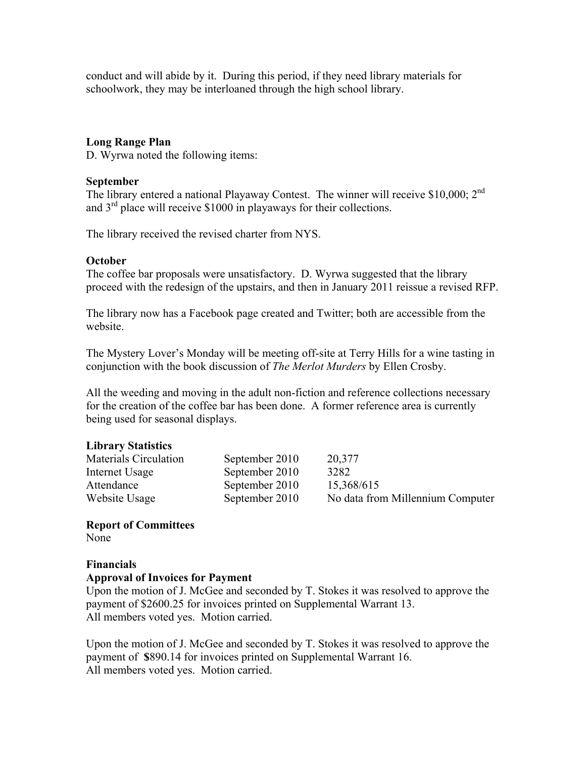conduct and will abide by it. During this period, if they need library materials for schoolwork, they may be interloaned through the high school library.

## **Long Range Plan**

D. Wyrwa noted the following items:

#### **September**

The library entered a national Playaway Contest. The winner will receive \$10,000: 2<sup>nd</sup> and  $3<sup>rd</sup>$  place will receive \$1000 in playaways for their collections.

The library received the revised charter from NYS.

### **October**

The coffee bar proposals were unsatisfactory. D. Wyrwa suggested that the library proceed with the redesign of the upstairs, and then in January 2011 reissue a revised RFP.

The library now has a Facebook page created and Twitter; both are accessible from the website.

The Mystery Lover's Monday will be meeting off-site at Terry Hills for a wine tasting in conjunction with the book discussion of *The Merlot Murders* by Ellen Crosby.

All the weeding and moving in the adult non-fiction and reference collections necessary for the creation of the coffee bar has been done. A former reference area is currently being used for seasonal displays.

### **Library Statistics**

| Materials Circulation | September 2010 | 20,377                           |
|-----------------------|----------------|----------------------------------|
| Internet Usage        | September 2010 | 3282                             |
| Attendance            | September 2010 | 15,368/615                       |
| Website Usage         | September 2010 | No data from Millennium Computer |

### **Report of Committees**

None

## **Financials Approval of Invoices for Payment**

Upon the motion of J. McGee and seconded by T. Stokes it was resolved to approve the payment of \$2600.25 for invoices printed on Supplemental Warrant 13. All members voted yes. Motion carried.

Upon the motion of J. McGee and seconded by T. Stokes it was resolved to approve the payment of **\$**890.14 for invoices printed on Supplemental Warrant 16. All members voted yes. Motion carried.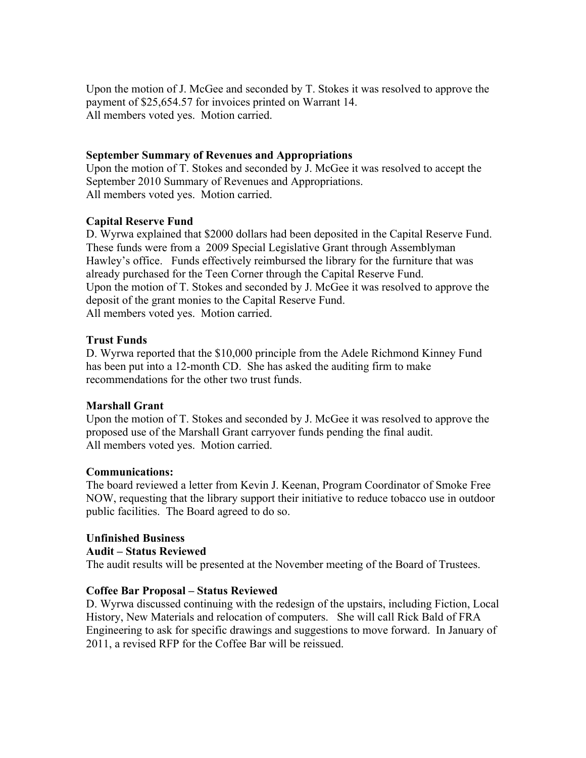Upon the motion of J. McGee and seconded by T. Stokes it was resolved to approve the payment of \$25,654.57 for invoices printed on Warrant 14. All members voted yes. Motion carried.

## **September Summary of Revenues and Appropriations**

Upon the motion of T. Stokes and seconded by J. McGee it was resolved to accept the September 2010 Summary of Revenues and Appropriations. All members voted yes. Motion carried.

## **Capital Reserve Fund**

D. Wyrwa explained that \$2000 dollars had been deposited in the Capital Reserve Fund. These funds were from a 2009 Special Legislative Grant through Assemblyman Hawley's office. Funds effectively reimbursed the library for the furniture that was already purchased for the Teen Corner through the Capital Reserve Fund. Upon the motion of T. Stokes and seconded by J. McGee it was resolved to approve the deposit of the grant monies to the Capital Reserve Fund. All members voted yes. Motion carried.

### **Trust Funds**

D. Wyrwa reported that the \$10,000 principle from the Adele Richmond Kinney Fund has been put into a 12-month CD. She has asked the auditing firm to make recommendations for the other two trust funds.

### **Marshall Grant**

Upon the motion of T. Stokes and seconded by J. McGee it was resolved to approve the proposed use of the Marshall Grant carryover funds pending the final audit. All members voted yes. Motion carried.

### **Communications:**

The board reviewed a letter from Kevin J. Keenan, Program Coordinator of Smoke Free NOW, requesting that the library support their initiative to reduce tobacco use in outdoor public facilities. The Board agreed to do so.

## **Unfinished Business**

#### **Audit – Status Reviewed**

The audit results will be presented at the November meeting of the Board of Trustees.

### **Coffee Bar Proposal – Status Reviewed**

D. Wyrwa discussed continuing with the redesign of the upstairs, including Fiction, Local History, New Materials and relocation of computers. She will call Rick Bald of FRA Engineering to ask for specific drawings and suggestions to move forward. In January of 2011, a revised RFP for the Coffee Bar will be reissued.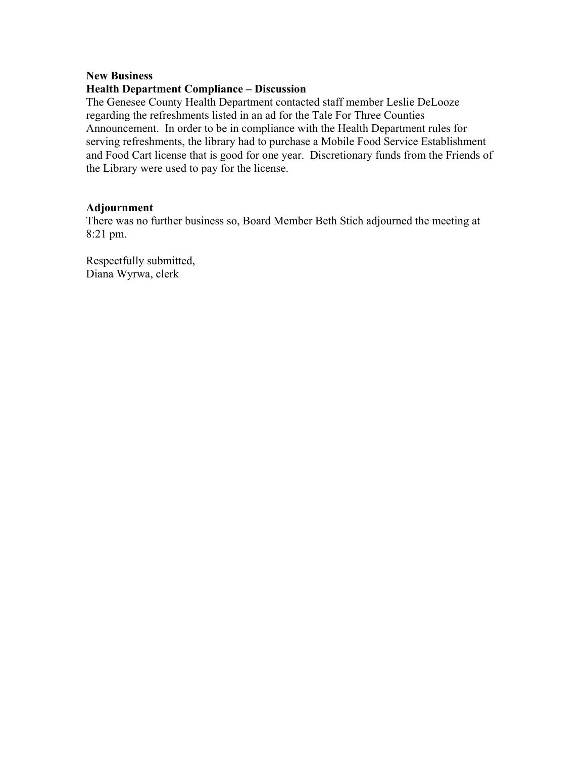#### **New Business**

### **Health Department Compliance – Discussion**

The Genesee County Health Department contacted staff member Leslie DeLooze regarding the refreshments listed in an ad for the Tale For Three Counties Announcement. In order to be in compliance with the Health Department rules for serving refreshments, the library had to purchase a Mobile Food Service Establishment and Food Cart license that is good for one year. Discretionary funds from the Friends of the Library were used to pay for the license.

#### **Adjournment**

There was no further business so, Board Member Beth Stich adjourned the meeting at 8:21 pm.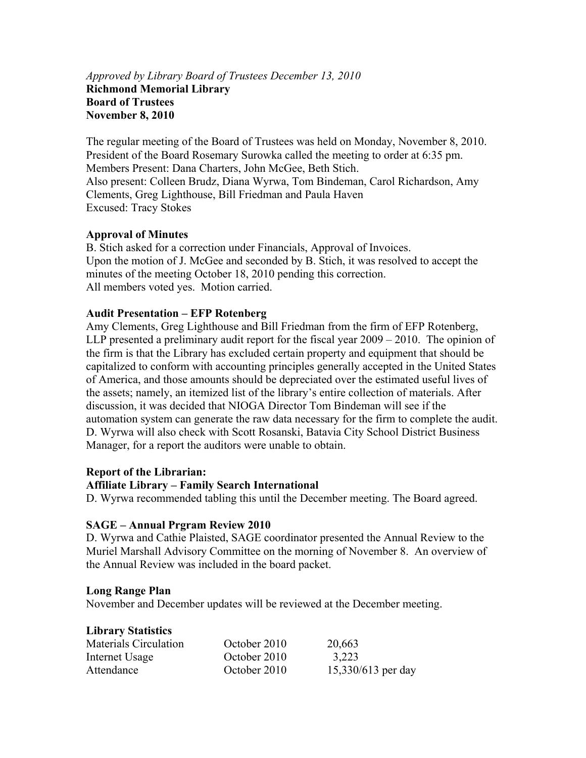## *Approved by Library Board of Trustees December 13, 2010* **Richmond Memorial Library Board of Trustees November 8, 2010**

The regular meeting of the Board of Trustees was held on Monday, November 8, 2010. President of the Board Rosemary Surowka called the meeting to order at 6:35 pm. Members Present: Dana Charters, John McGee, Beth Stich. Also present: Colleen Brudz, Diana Wyrwa, Tom Bindeman, Carol Richardson, Amy Clements, Greg Lighthouse, Bill Friedman and Paula Haven Excused: Tracy Stokes

## **Approval of Minutes**

B. Stich asked for a correction under Financials, Approval of Invoices. Upon the motion of J. McGee and seconded by B. Stich, it was resolved to accept the minutes of the meeting October 18, 2010 pending this correction. All members voted yes. Motion carried.

### **Audit Presentation – EFP Rotenberg**

Amy Clements, Greg Lighthouse and Bill Friedman from the firm of EFP Rotenberg, LLP presented a preliminary audit report for the fiscal year 2009 – 2010. The opinion of the firm is that the Library has excluded certain property and equipment that should be capitalized to conform with accounting principles generally accepted in the United States of America, and those amounts should be depreciated over the estimated useful lives of the assets; namely, an itemized list of the library's entire collection of materials. After discussion, it was decided that NIOGA Director Tom Bindeman will see if the automation system can generate the raw data necessary for the firm to complete the audit. D. Wyrwa will also check with Scott Rosanski, Batavia City School District Business Manager, for a report the auditors were unable to obtain.

### **Report of the Librarian:**

### **Affiliate Library – Family Search International**

D. Wyrwa recommended tabling this until the December meeting. The Board agreed.

### **SAGE – Annual Prgram Review 2010**

D. Wyrwa and Cathie Plaisted, SAGE coordinator presented the Annual Review to the Muriel Marshall Advisory Committee on the morning of November 8. An overview of the Annual Review was included in the board packet.

### **Long Range Plan**

November and December updates will be reviewed at the December meeting.

#### **Library Statistics**

| Materials Circulation | October 2010 | 20,663             |
|-----------------------|--------------|--------------------|
| Internet Usage        | October 2010 | 3,223              |
| Attendance            | October 2010 | 15,330/613 per day |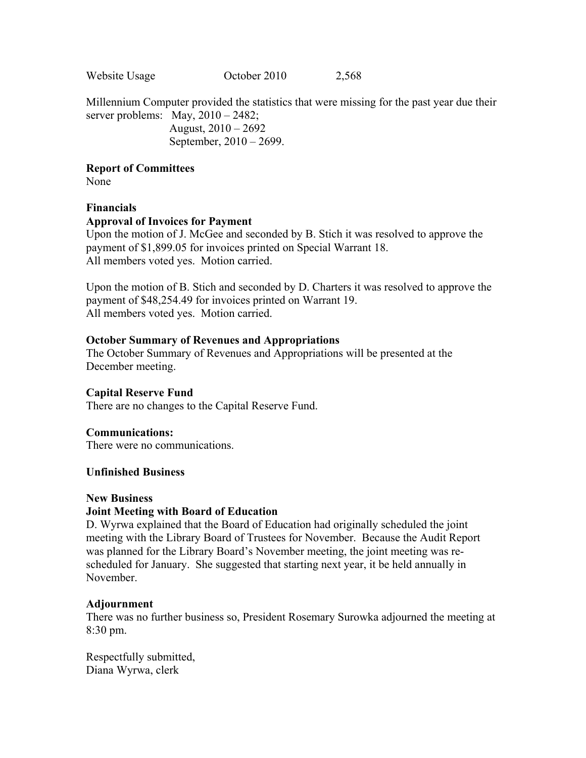Website Usage October 2010 2,568

Millennium Computer provided the statistics that were missing for the past year due their server problems: May,  $2010 - 2482$ ;

> August, 2010 – 2692 September, 2010 – 2699.

**Report of Committees** 

None

## **Financials**

### **Approval of Invoices for Payment**

Upon the motion of J. McGee and seconded by B. Stich it was resolved to approve the payment of \$1,899.05 for invoices printed on Special Warrant 18. All members voted yes. Motion carried.

Upon the motion of B. Stich and seconded by D. Charters it was resolved to approve the payment of \$48,254.49 for invoices printed on Warrant 19. All members voted yes. Motion carried.

### **October Summary of Revenues and Appropriations**

The October Summary of Revenues and Appropriations will be presented at the December meeting.

### **Capital Reserve Fund**

There are no changes to the Capital Reserve Fund.

### **Communications:**

There were no communications.

### **Unfinished Business**

### **New Business**

## **Joint Meeting with Board of Education**

D. Wyrwa explained that the Board of Education had originally scheduled the joint meeting with the Library Board of Trustees for November. Because the Audit Report was planned for the Library Board's November meeting, the joint meeting was rescheduled for January. She suggested that starting next year, it be held annually in November.

### **Adjournment**

There was no further business so, President Rosemary Surowka adjourned the meeting at 8:30 pm.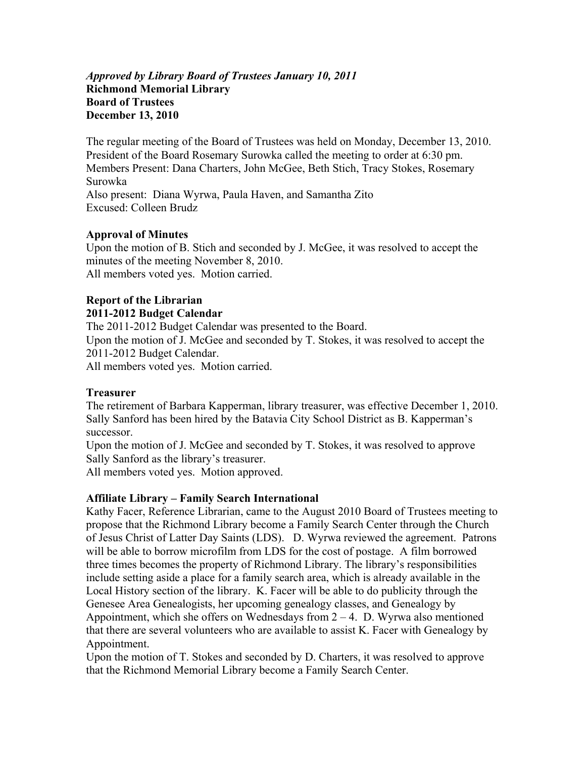## *Approved by Library Board of Trustees January 10, 2011* **Richmond Memorial Library Board of Trustees December 13, 2010**

The regular meeting of the Board of Trustees was held on Monday, December 13, 2010. President of the Board Rosemary Surowka called the meeting to order at 6:30 pm. Members Present: Dana Charters, John McGee, Beth Stich, Tracy Stokes, Rosemary Surowka Also present: Diana Wyrwa, Paula Haven, and Samantha Zito Excused: Colleen Brudz

## **Approval of Minutes**

Upon the motion of B. Stich and seconded by J. McGee, it was resolved to accept the minutes of the meeting November 8, 2010. All members voted yes. Motion carried.

### **Report of the Librarian 2011-2012 Budget Calendar**

The 2011-2012 Budget Calendar was presented to the Board. Upon the motion of J. McGee and seconded by T. Stokes, it was resolved to accept the 2011-2012 Budget Calendar. All members voted yes. Motion carried.

## **Treasurer**

The retirement of Barbara Kapperman, library treasurer, was effective December 1, 2010. Sally Sanford has been hired by the Batavia City School District as B. Kapperman's successor.

Upon the motion of J. McGee and seconded by T. Stokes, it was resolved to approve Sally Sanford as the library's treasurer.

All members voted yes. Motion approved.

## **Affiliate Library – Family Search International**

Kathy Facer, Reference Librarian, came to the August 2010 Board of Trustees meeting to propose that the Richmond Library become a Family Search Center through the Church of Jesus Christ of Latter Day Saints (LDS). D. Wyrwa reviewed the agreement. Patrons will be able to borrow microfilm from LDS for the cost of postage. A film borrowed three times becomes the property of Richmond Library. The library's responsibilities include setting aside a place for a family search area, which is already available in the Local History section of the library. K. Facer will be able to do publicity through the Genesee Area Genealogists, her upcoming genealogy classes, and Genealogy by Appointment, which she offers on Wednesdays from  $2 - 4$ . D. Wyrwa also mentioned that there are several volunteers who are available to assist K. Facer with Genealogy by Appointment.

Upon the motion of T. Stokes and seconded by D. Charters, it was resolved to approve that the Richmond Memorial Library become a Family Search Center.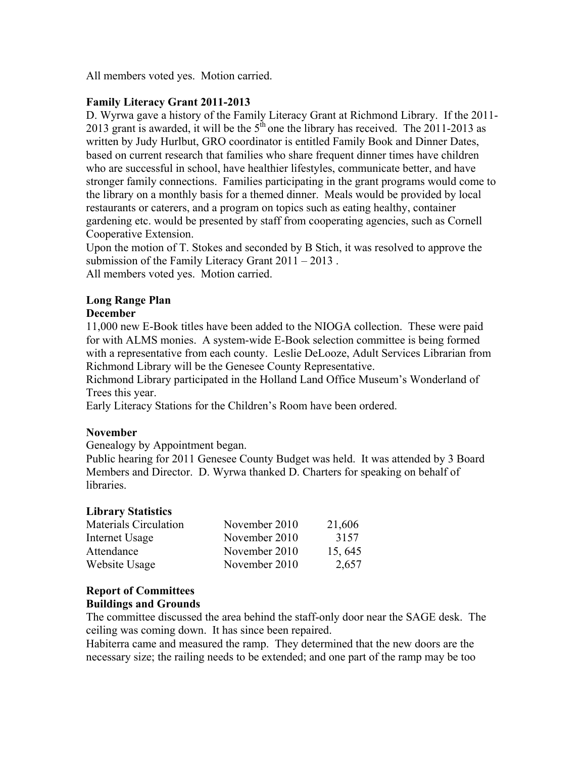All members voted yes. Motion carried.

## **Family Literacy Grant 2011-2013**

D. Wyrwa gave a history of the Family Literacy Grant at Richmond Library. If the 2011- 2013 grant is awarded, it will be the  $5<sup>th</sup>$  one the library has received. The 2011-2013 as written by Judy Hurlbut, GRO coordinator is entitled Family Book and Dinner Dates, based on current research that families who share frequent dinner times have children who are successful in school, have healthier lifestyles, communicate better, and have stronger family connections. Families participating in the grant programs would come to the library on a monthly basis for a themed dinner. Meals would be provided by local restaurants or caterers, and a program on topics such as eating healthy, container gardening etc. would be presented by staff from cooperating agencies, such as Cornell Cooperative Extension.

Upon the motion of T. Stokes and seconded by B Stich, it was resolved to approve the submission of the Family Literacy Grant 2011 – 2013 . All members voted yes. Motion carried.

# **Long Range Plan**

## **December**

11,000 new E-Book titles have been added to the NIOGA collection. These were paid for with ALMS monies. A system-wide E-Book selection committee is being formed with a representative from each county. Leslie DeLooze, Adult Services Librarian from Richmond Library will be the Genesee County Representative.

Richmond Library participated in the Holland Land Office Museum's Wonderland of Trees this year.

Early Literacy Stations for the Children's Room have been ordered.

## **November**

Genealogy by Appointment began.

Public hearing for 2011 Genesee County Budget was held. It was attended by 3 Board Members and Director. D. Wyrwa thanked D. Charters for speaking on behalf of libraries.

### **Library Statistics**

| <b>Materials Circulation</b> | November 2010 | 21,606  |
|------------------------------|---------------|---------|
| Internet Usage               | November 2010 | 3157    |
| Attendance                   | November 2010 | 15, 645 |
| Website Usage                | November 2010 | 2,657   |

## **Report of Committees**

## **Buildings and Grounds**

The committee discussed the area behind the staff-only door near the SAGE desk. The ceiling was coming down. It has since been repaired.

Habiterra came and measured the ramp. They determined that the new doors are the necessary size; the railing needs to be extended; and one part of the ramp may be too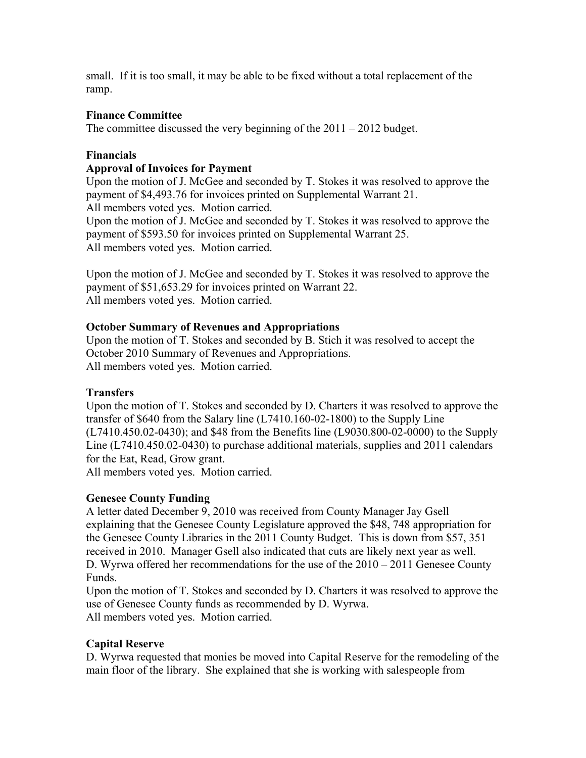small. If it is too small, it may be able to be fixed without a total replacement of the ramp.

## **Finance Committee**

The committee discussed the very beginning of the 2011 – 2012 budget.

## **Financials**

### **Approval of Invoices for Payment**

Upon the motion of J. McGee and seconded by T. Stokes it was resolved to approve the payment of \$4,493.76 for invoices printed on Supplemental Warrant 21. All members voted yes. Motion carried. Upon the motion of J. McGee and seconded by T. Stokes it was resolved to approve the payment of \$593.50 for invoices printed on Supplemental Warrant 25.

All members voted yes. Motion carried.

Upon the motion of J. McGee and seconded by T. Stokes it was resolved to approve the payment of \$51,653.29 for invoices printed on Warrant 22. All members voted yes. Motion carried.

## **October Summary of Revenues and Appropriations**

Upon the motion of T. Stokes and seconded by B. Stich it was resolved to accept the October 2010 Summary of Revenues and Appropriations. All members voted yes. Motion carried.

### **Transfers**

Upon the motion of T. Stokes and seconded by D. Charters it was resolved to approve the transfer of \$640 from the Salary line (L7410.160-02-1800) to the Supply Line (L7410.450.02-0430); and \$48 from the Benefits line (L9030.800-02-0000) to the Supply Line (L7410.450.02-0430) to purchase additional materials, supplies and 2011 calendars for the Eat, Read, Grow grant.

All members voted yes. Motion carried.

## **Genesee County Funding**

A letter dated December 9, 2010 was received from County Manager Jay Gsell explaining that the Genesee County Legislature approved the \$48, 748 appropriation for the Genesee County Libraries in the 2011 County Budget. This is down from \$57, 351 received in 2010. Manager Gsell also indicated that cuts are likely next year as well. D. Wyrwa offered her recommendations for the use of the  $2010 - 2011$  Genesee County Funds.

Upon the motion of T. Stokes and seconded by D. Charters it was resolved to approve the use of Genesee County funds as recommended by D. Wyrwa. All members voted yes. Motion carried.

## **Capital Reserve**

D. Wyrwa requested that monies be moved into Capital Reserve for the remodeling of the main floor of the library. She explained that she is working with salespeople from